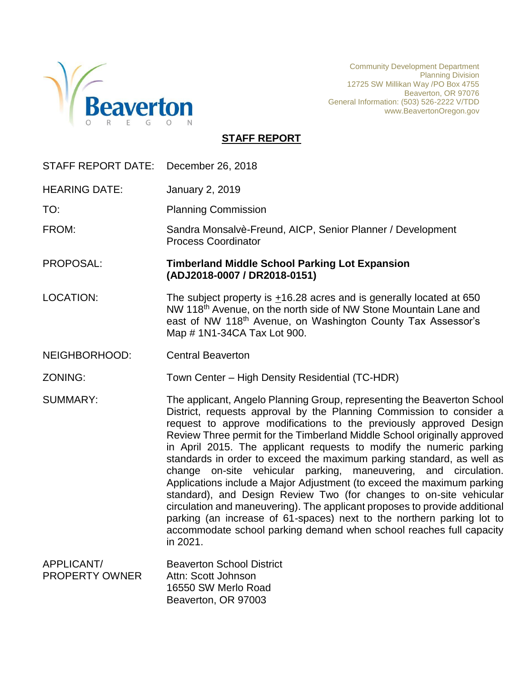

Community Development Department Planning Division 12725 SW Millikan Way /PO Box 4755 Beaverton, OR 97076 General Information: (503) 526-2222 V/TDD www.BeavertonOregon.gov

## **STAFF REPORT**

| STAFF REPORT DATE:                  | December 26, 2018                                                                                                                                                                                                                                                                                                                                                                                                                                                                                                                                                                                                                                                                                                                                                                                                                                                                                               |
|-------------------------------------|-----------------------------------------------------------------------------------------------------------------------------------------------------------------------------------------------------------------------------------------------------------------------------------------------------------------------------------------------------------------------------------------------------------------------------------------------------------------------------------------------------------------------------------------------------------------------------------------------------------------------------------------------------------------------------------------------------------------------------------------------------------------------------------------------------------------------------------------------------------------------------------------------------------------|
| <b>HEARING DATE:</b>                | <b>January 2, 2019</b>                                                                                                                                                                                                                                                                                                                                                                                                                                                                                                                                                                                                                                                                                                                                                                                                                                                                                          |
| TO:                                 | <b>Planning Commission</b>                                                                                                                                                                                                                                                                                                                                                                                                                                                                                                                                                                                                                                                                                                                                                                                                                                                                                      |
| FROM:                               | Sandra Monsalvè-Freund, AICP, Senior Planner / Development<br><b>Process Coordinator</b>                                                                                                                                                                                                                                                                                                                                                                                                                                                                                                                                                                                                                                                                                                                                                                                                                        |
| PROPOSAL:                           | <b>Timberland Middle School Parking Lot Expansion</b><br>(ADJ2018-0007 / DR2018-0151)                                                                                                                                                                                                                                                                                                                                                                                                                                                                                                                                                                                                                                                                                                                                                                                                                           |
| <b>LOCATION:</b>                    | The subject property is $\pm$ 16.28 acres and is generally located at 650<br>NW 118 <sup>th</sup> Avenue, on the north side of NW Stone Mountain Lane and<br>east of NW 118th Avenue, on Washington County Tax Assessor's<br>Map # 1N1-34CA Tax Lot 900.                                                                                                                                                                                                                                                                                                                                                                                                                                                                                                                                                                                                                                                        |
| NEIGHBORHOOD:                       | <b>Central Beaverton</b>                                                                                                                                                                                                                                                                                                                                                                                                                                                                                                                                                                                                                                                                                                                                                                                                                                                                                        |
| ZONING:                             | Town Center - High Density Residential (TC-HDR)                                                                                                                                                                                                                                                                                                                                                                                                                                                                                                                                                                                                                                                                                                                                                                                                                                                                 |
| <b>SUMMARY:</b>                     | The applicant, Angelo Planning Group, representing the Beaverton School<br>District, requests approval by the Planning Commission to consider a<br>request to approve modifications to the previously approved Design<br>Review Three permit for the Timberland Middle School originally approved<br>in April 2015. The applicant requests to modify the numeric parking<br>standards in order to exceed the maximum parking standard, as well as<br>change on-site vehicular parking, maneuvering, and circulation.<br>Applications include a Major Adjustment (to exceed the maximum parking<br>standard), and Design Review Two (for changes to on-site vehicular<br>circulation and maneuvering). The applicant proposes to provide additional<br>parking (an increase of 61-spaces) next to the northern parking lot to<br>accommodate school parking demand when school reaches full capacity<br>in 2021. |
| APPLICANT/<br><b>PROPERTY OWNER</b> | <b>Beaverton School District</b><br>Attn: Scott Johnson                                                                                                                                                                                                                                                                                                                                                                                                                                                                                                                                                                                                                                                                                                                                                                                                                                                         |

16550 SW Merlo Road Beaverton, OR 97003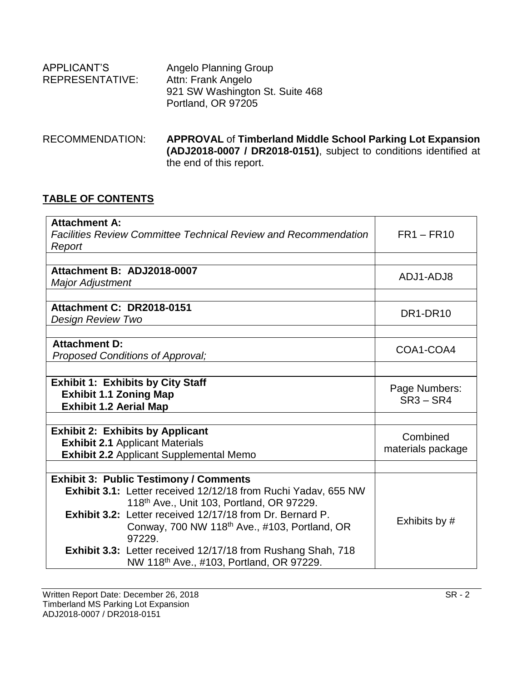| APPLICANT'S            | Angelo Planning Group           |
|------------------------|---------------------------------|
| <b>REPRESENTATIVE:</b> | Attn: Frank Angelo              |
|                        | 921 SW Washington St. Suite 468 |
|                        | Portland, OR 97205              |
|                        |                                 |

RECOMMENDATION: **APPROVAL** of **Timberland Middle School Parking Lot Expansion (ADJ2018-0007 / DR2018-0151)**, subject to conditions identified at the end of this report.

### **TABLE OF CONTENTS**

| <b>Attachment A:</b><br>Facilities Review Committee Technical Review and Recommendation |                                                                  | $FR1 - FR10$      |
|-----------------------------------------------------------------------------------------|------------------------------------------------------------------|-------------------|
| Report                                                                                  |                                                                  |                   |
|                                                                                         |                                                                  |                   |
| Attachment B: ADJ2018-0007                                                              |                                                                  | ADJ1-ADJ8         |
| <b>Major Adjustment</b>                                                                 |                                                                  |                   |
|                                                                                         |                                                                  |                   |
| Attachment C: DR2018-0151                                                               |                                                                  | DR1-DR10          |
| Design Review Two                                                                       |                                                                  |                   |
|                                                                                         |                                                                  |                   |
| <b>Attachment D:</b>                                                                    |                                                                  | COA1-COA4         |
|                                                                                         | Proposed Conditions of Approval;                                 |                   |
|                                                                                         |                                                                  |                   |
|                                                                                         | <b>Exhibit 1: Exhibits by City Staff</b>                         | Page Numbers:     |
| <b>Exhibit 1.1 Zoning Map</b>                                                           |                                                                  | $SR3 - SR4$       |
| <b>Exhibit 1.2 Aerial Map</b>                                                           |                                                                  |                   |
|                                                                                         |                                                                  |                   |
|                                                                                         | <b>Exhibit 2: Exhibits by Applicant</b>                          | Combined          |
|                                                                                         | <b>Exhibit 2.1 Applicant Materials</b>                           | materials package |
|                                                                                         | <b>Exhibit 2.2 Applicant Supplemental Memo</b>                   |                   |
|                                                                                         |                                                                  |                   |
|                                                                                         | <b>Exhibit 3: Public Testimony / Comments</b>                    |                   |
|                                                                                         | Exhibit 3.1: Letter received 12/12/18 from Ruchi Yadav, 655 NW   |                   |
|                                                                                         | 118th Ave., Unit 103, Portland, OR 97229.                        |                   |
|                                                                                         | <b>Exhibit 3.2:</b> Letter received 12/17/18 from Dr. Bernard P. | Exhibits by #     |
|                                                                                         | Conway, 700 NW 118 <sup>th</sup> Ave., #103, Portland, OR        |                   |
|                                                                                         | 97229.                                                           |                   |
|                                                                                         | Exhibit 3.3: Letter received 12/17/18 from Rushang Shah, 718     |                   |
|                                                                                         | NW 118th Ave., #103, Portland, OR 97229.                         |                   |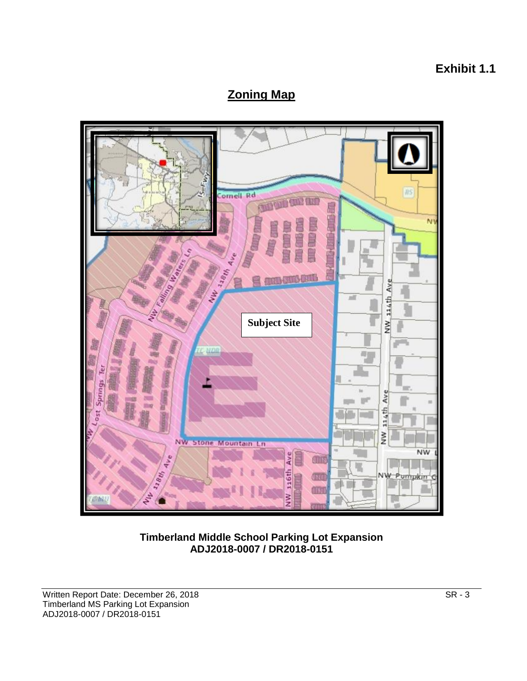# **Exhibit 1.1**

# **Zoning Map**



**Timberland Middle School Parking Lot Expansion ADJ2018-0007 / DR2018-0151**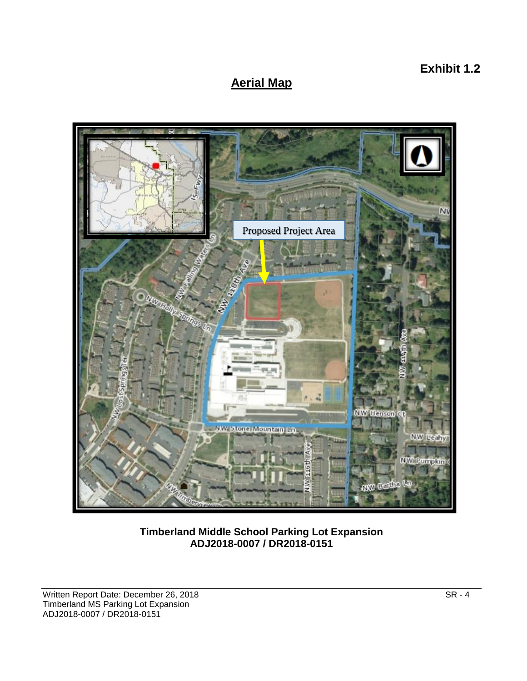# **Aerial Map**



**Timberland Middle School Parking Lot Expansion ADJ2018-0007 / DR2018-0151**

**Exhibit 1.2**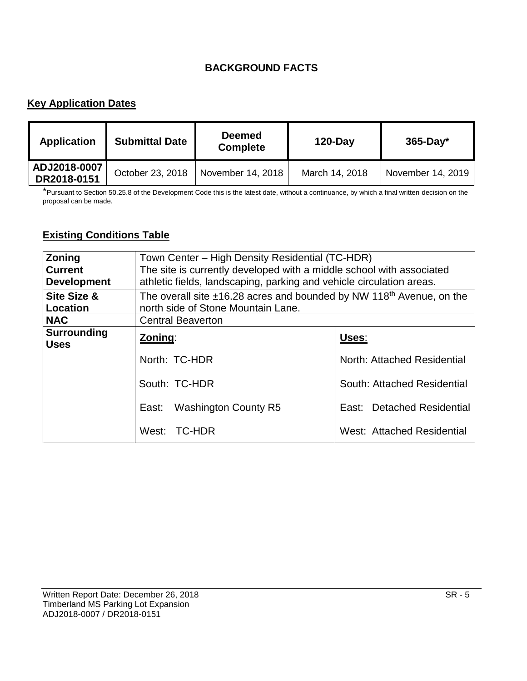## **BACKGROUND FACTS**

## **Key Application Dates**

| <b>Application</b>          | <b>Submittal Date</b> | <b>Deemed</b><br><b>Complete</b> | $120$ -Day     | $365$ -Day*       |
|-----------------------------|-----------------------|----------------------------------|----------------|-------------------|
| ADJ2018-0007<br>DR2018-0151 | October 23, 2018      | November 14, 2018                | March 14, 2018 | November 14, 2019 |

\*Pursuant to Section 50.25.8 of the Development Code this is the latest date, without a continuance, by which a final written decision on the proposal can be made.

## **Existing Conditions Table**

| Zoning                               | Town Center – High Density Residential (TC-HDR)                                                                                              |                             |  |
|--------------------------------------|----------------------------------------------------------------------------------------------------------------------------------------------|-----------------------------|--|
| <b>Current</b><br><b>Development</b> | The site is currently developed with a middle school with associated<br>athletic fields, landscaping, parking and vehicle circulation areas. |                             |  |
| Site Size &<br>Location              | The overall site $\pm$ 16.28 acres and bounded by NW 118 <sup>th</sup> Avenue, on the<br>north side of Stone Mountain Lane.                  |                             |  |
| <b>NAC</b>                           | <b>Central Beaverton</b>                                                                                                                     |                             |  |
| <b>Surrounding</b><br><b>Uses</b>    | Zoning:                                                                                                                                      | Uses:                       |  |
|                                      | North: TC-HDR                                                                                                                                | North: Attached Residential |  |
|                                      | South: TC-HDR                                                                                                                                | South: Attached Residential |  |
|                                      | Washington County R5<br>East:                                                                                                                | East: Detached Residential  |  |
|                                      | West: TC-HDR                                                                                                                                 | West: Attached Residential  |  |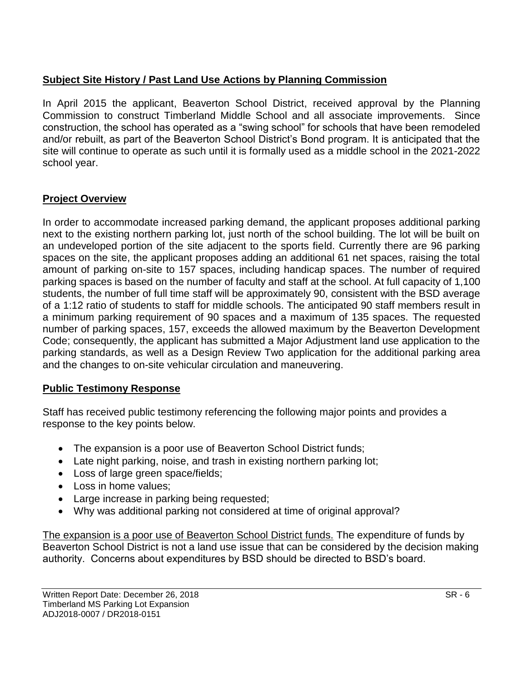## **Subject Site History / Past Land Use Actions by Planning Commission**

In April 2015 the applicant, Beaverton School District, received approval by the Planning Commission to construct Timberland Middle School and all associate improvements. Since construction, the school has operated as a "swing school" for schools that have been remodeled and/or rebuilt, as part of the Beaverton School District's Bond program. It is anticipated that the site will continue to operate as such until it is formally used as a middle school in the 2021-2022 school year.

## **Project Overview**

In order to accommodate increased parking demand, the applicant proposes additional parking next to the existing northern parking lot, just north of the school building. The lot will be built on an undeveloped portion of the site adjacent to the sports field. Currently there are 96 parking spaces on the site, the applicant proposes adding an additional 61 net spaces, raising the total amount of parking on-site to 157 spaces, including handicap spaces. The number of required parking spaces is based on the number of faculty and staff at the school. At full capacity of 1,100 students, the number of full time staff will be approximately 90, consistent with the BSD average of a 1:12 ratio of students to staff for middle schools. The anticipated 90 staff members result in a minimum parking requirement of 90 spaces and a maximum of 135 spaces. The requested number of parking spaces, 157, exceeds the allowed maximum by the Beaverton Development Code; consequently, the applicant has submitted a Major Adjustment land use application to the parking standards, as well as a Design Review Two application for the additional parking area and the changes to on-site vehicular circulation and maneuvering.

## **Public Testimony Response**

Staff has received public testimony referencing the following major points and provides a response to the key points below.

- The expansion is a poor use of Beaverton School District funds;
- Late night parking, noise, and trash in existing northern parking lot;
- Loss of large green space/fields;
- Loss in home values:
- Large increase in parking being requested;
- Why was additional parking not considered at time of original approval?

The expansion is a poor use of Beaverton School District funds. The expenditure of funds by Beaverton School District is not a land use issue that can be considered by the decision making authority. Concerns about expenditures by BSD should be directed to BSD's board.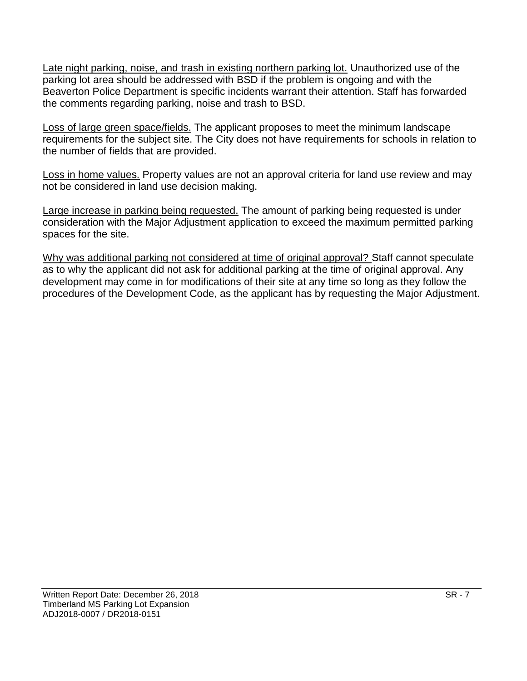Late night parking, noise, and trash in existing northern parking lot. Unauthorized use of the parking lot area should be addressed with BSD if the problem is ongoing and with the Beaverton Police Department is specific incidents warrant their attention. Staff has forwarded the comments regarding parking, noise and trash to BSD.

Loss of large green space/fields. The applicant proposes to meet the minimum landscape requirements for the subject site. The City does not have requirements for schools in relation to the number of fields that are provided.

Loss in home values. Property values are not an approval criteria for land use review and may not be considered in land use decision making.

Large increase in parking being requested. The amount of parking being requested is under consideration with the Major Adjustment application to exceed the maximum permitted parking spaces for the site.

Why was additional parking not considered at time of original approval? Staff cannot speculate as to why the applicant did not ask for additional parking at the time of original approval. Any development may come in for modifications of their site at any time so long as they follow the procedures of the Development Code, as the applicant has by requesting the Major Adjustment.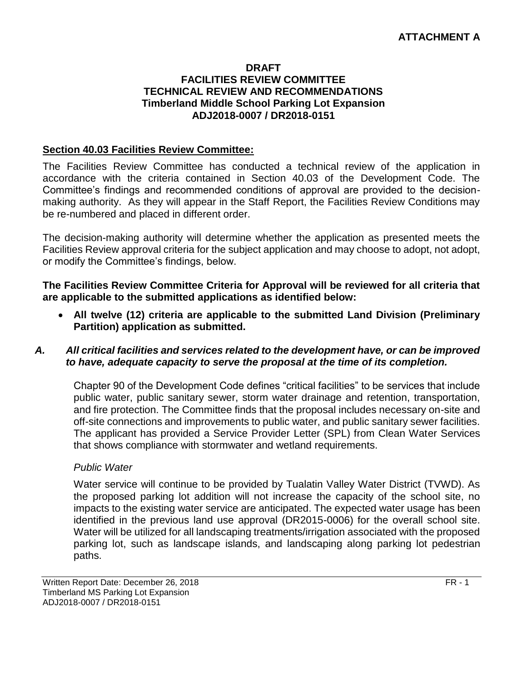#### **DRAFT FACILITIES REVIEW COMMITTEE TECHNICAL REVIEW AND RECOMMENDATIONS Timberland Middle School Parking Lot Expansion ADJ2018-0007 / DR2018-0151**

#### **Section 40.03 Facilities Review Committee:**

The Facilities Review Committee has conducted a technical review of the application in accordance with the criteria contained in Section 40.03 of the Development Code. The Committee's findings and recommended conditions of approval are provided to the decisionmaking authority. As they will appear in the Staff Report, the Facilities Review Conditions may be re-numbered and placed in different order.

The decision-making authority will determine whether the application as presented meets the Facilities Review approval criteria for the subject application and may choose to adopt, not adopt, or modify the Committee's findings, below.

**The Facilities Review Committee Criteria for Approval will be reviewed for all criteria that are applicable to the submitted applications as identified below:**

 **All twelve (12) criteria are applicable to the submitted Land Division (Preliminary Partition) application as submitted.**

#### *A. All critical facilities and services related to the development have, or can be improved to have, adequate capacity to serve the proposal at the time of its completion.*

Chapter 90 of the Development Code defines "critical facilities" to be services that include public water, public sanitary sewer, storm water drainage and retention, transportation, and fire protection. The Committee finds that the proposal includes necessary on-site and off-site connections and improvements to public water, and public sanitary sewer facilities. The applicant has provided a Service Provider Letter (SPL) from Clean Water Services that shows compliance with stormwater and wetland requirements.

#### *Public Water*

Water service will continue to be provided by Tualatin Valley Water District (TVWD). As the proposed parking lot addition will not increase the capacity of the school site, no impacts to the existing water service are anticipated. The expected water usage has been identified in the previous land use approval (DR2015-0006) for the overall school site. Water will be utilized for all landscaping treatments/irrigation associated with the proposed parking lot, such as landscape islands, and landscaping along parking lot pedestrian paths.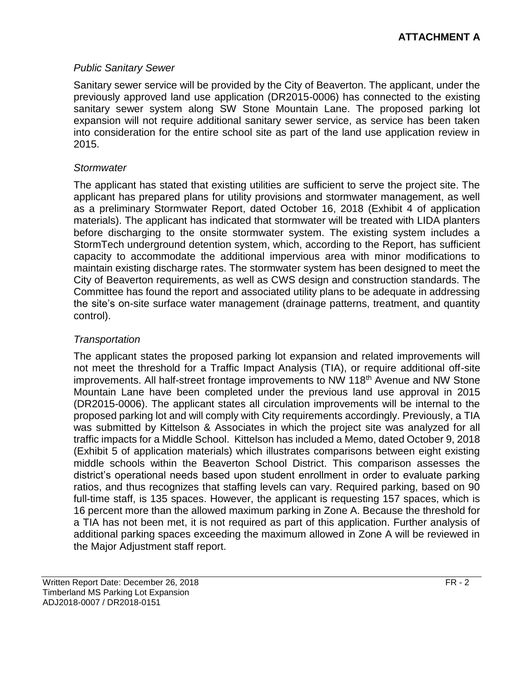#### *Public Sanitary Sewer*

Sanitary sewer service will be provided by the City of Beaverton. The applicant, under the previously approved land use application (DR2015-0006) has connected to the existing sanitary sewer system along SW Stone Mountain Lane. The proposed parking lot expansion will not require additional sanitary sewer service, as service has been taken into consideration for the entire school site as part of the land use application review in 2015.

#### *Stormwater*

The applicant has stated that existing utilities are sufficient to serve the project site. The applicant has prepared plans for utility provisions and stormwater management, as well as a preliminary Stormwater Report, dated October 16, 2018 (Exhibit 4 of application materials). The applicant has indicated that stormwater will be treated with LIDA planters before discharging to the onsite stormwater system. The existing system includes a StormTech underground detention system, which, according to the Report, has sufficient capacity to accommodate the additional impervious area with minor modifications to maintain existing discharge rates. The stormwater system has been designed to meet the City of Beaverton requirements, as well as CWS design and construction standards. The Committee has found the report and associated utility plans to be adequate in addressing the site's on-site surface water management (drainage patterns, treatment, and quantity control).

## *Transportation*

The applicant states the proposed parking lot expansion and related improvements will not meet the threshold for a Traffic Impact Analysis (TIA), or require additional off-site improvements. All half-street frontage improvements to NW 118<sup>th</sup> Avenue and NW Stone Mountain Lane have been completed under the previous land use approval in 2015 (DR2015-0006). The applicant states all circulation improvements will be internal to the proposed parking lot and will comply with City requirements accordingly. Previously, a TIA was submitted by Kittelson & Associates in which the project site was analyzed for all traffic impacts for a Middle School. Kittelson has included a Memo, dated October 9, 2018 (Exhibit 5 of application materials) which illustrates comparisons between eight existing middle schools within the Beaverton School District. This comparison assesses the district's operational needs based upon student enrollment in order to evaluate parking ratios, and thus recognizes that staffing levels can vary. Required parking, based on 90 full-time staff, is 135 spaces. However, the applicant is requesting 157 spaces, which is 16 percent more than the allowed maximum parking in Zone A. Because the threshold for a TIA has not been met, it is not required as part of this application. Further analysis of additional parking spaces exceeding the maximum allowed in Zone A will be reviewed in the Major Adjustment staff report.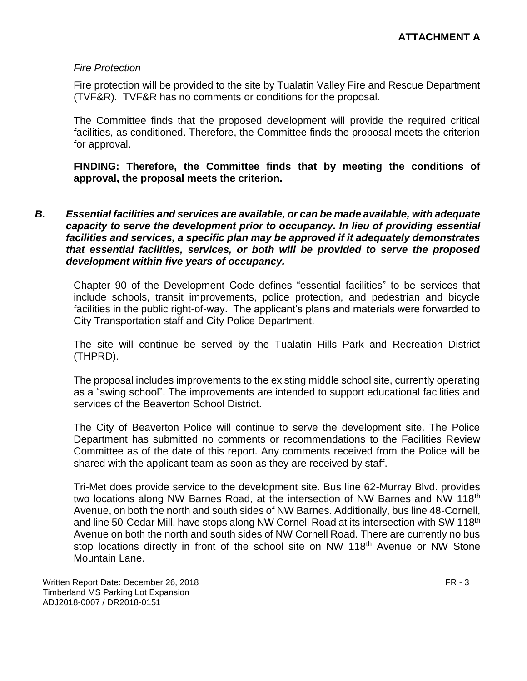#### *Fire Protection*

Fire protection will be provided to the site by Tualatin Valley Fire and Rescue Department (TVF&R). TVF&R has no comments or conditions for the proposal.

The Committee finds that the proposed development will provide the required critical facilities, as conditioned. Therefore, the Committee finds the proposal meets the criterion for approval.

**FINDING: Therefore, the Committee finds that by meeting the conditions of approval, the proposal meets the criterion.** 

*B. Essential facilities and services are available, or can be made available, with adequate capacity to serve the development prior to occupancy. In lieu of providing essential facilities and services, a specific plan may be approved if it adequately demonstrates that essential facilities, services, or both will be provided to serve the proposed development within five years of occupancy.*

Chapter 90 of the Development Code defines "essential facilities" to be services that include schools, transit improvements, police protection, and pedestrian and bicycle facilities in the public right-of-way. The applicant's plans and materials were forwarded to City Transportation staff and City Police Department.

The site will continue be served by the Tualatin Hills Park and Recreation District (THPRD).

The proposal includes improvements to the existing middle school site, currently operating as a "swing school". The improvements are intended to support educational facilities and services of the Beaverton School District.

The City of Beaverton Police will continue to serve the development site. The Police Department has submitted no comments or recommendations to the Facilities Review Committee as of the date of this report. Any comments received from the Police will be shared with the applicant team as soon as they are received by staff.

Tri-Met does provide service to the development site. Bus line 62-Murray Blvd. provides two locations along NW Barnes Road, at the intersection of NW Barnes and NW 118<sup>th</sup> Avenue, on both the north and south sides of NW Barnes. Additionally, bus line 48-Cornell, and line 50-Cedar Mill, have stops along NW Cornell Road at its intersection with SW 118<sup>th</sup> Avenue on both the north and south sides of NW Cornell Road. There are currently no bus stop locations directly in front of the school site on NW 118<sup>th</sup> Avenue or NW Stone Mountain Lane.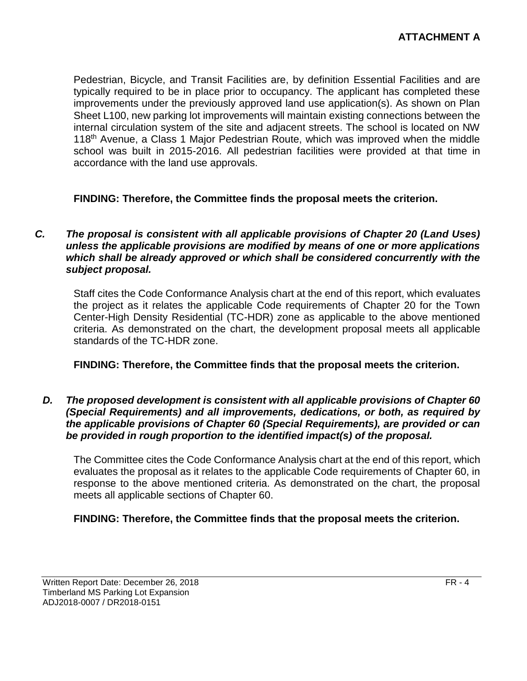Pedestrian, Bicycle, and Transit Facilities are, by definition Essential Facilities and are typically required to be in place prior to occupancy. The applicant has completed these improvements under the previously approved land use application(s). As shown on Plan Sheet L100, new parking lot improvements will maintain existing connections between the internal circulation system of the site and adjacent streets. The school is located on NW 118th Avenue, a Class 1 Major Pedestrian Route, which was improved when the middle school was built in 2015-2016. All pedestrian facilities were provided at that time in accordance with the land use approvals.

### **FINDING: Therefore, the Committee finds the proposal meets the criterion.**

*C. The proposal is consistent with all applicable provisions of Chapter 20 (Land Uses) unless the applicable provisions are modified by means of one or more applications which shall be already approved or which shall be considered concurrently with the subject proposal.*

Staff cites the Code Conformance Analysis chart at the end of this report, which evaluates the project as it relates the applicable Code requirements of Chapter 20 for the Town Center-High Density Residential (TC-HDR) zone as applicable to the above mentioned criteria. As demonstrated on the chart, the development proposal meets all applicable standards of the TC-HDR zone.

#### **FINDING: Therefore, the Committee finds that the proposal meets the criterion.**

*D. The proposed development is consistent with all applicable provisions of Chapter 60 (Special Requirements) and all improvements, dedications, or both, as required by the applicable provisions of Chapter 60 (Special Requirements), are provided or can be provided in rough proportion to the identified impact(s) of the proposal.*

The Committee cites the Code Conformance Analysis chart at the end of this report, which evaluates the proposal as it relates to the applicable Code requirements of Chapter 60, in response to the above mentioned criteria. As demonstrated on the chart, the proposal meets all applicable sections of Chapter 60.

### **FINDING: Therefore, the Committee finds that the proposal meets the criterion.**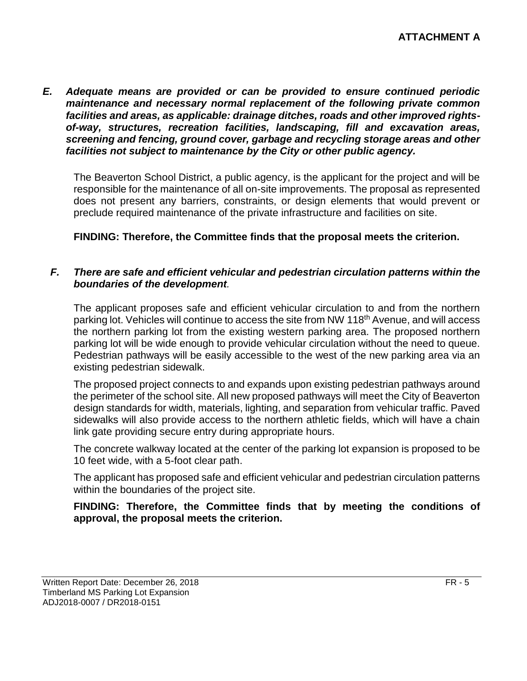*E. Adequate means are provided or can be provided to ensure continued periodic maintenance and necessary normal replacement of the following private common facilities and areas, as applicable: drainage ditches, roads and other improved rightsof-way, structures, recreation facilities, landscaping, fill and excavation areas, screening and fencing, ground cover, garbage and recycling storage areas and other facilities not subject to maintenance by the City or other public agency.*

The Beaverton School District, a public agency, is the applicant for the project and will be responsible for the maintenance of all on-site improvements. The proposal as represented does not present any barriers, constraints, or design elements that would prevent or preclude required maintenance of the private infrastructure and facilities on site.

#### **FINDING: Therefore, the Committee finds that the proposal meets the criterion.**

#### *F. There are safe and efficient vehicular and pedestrian circulation patterns within the boundaries of the development.*

The applicant proposes safe and efficient vehicular circulation to and from the northern parking lot. Vehicles will continue to access the site from NW 118<sup>th</sup> Avenue, and will access the northern parking lot from the existing western parking area. The proposed northern parking lot will be wide enough to provide vehicular circulation without the need to queue. Pedestrian pathways will be easily accessible to the west of the new parking area via an existing pedestrian sidewalk.

The proposed project connects to and expands upon existing pedestrian pathways around the perimeter of the school site. All new proposed pathways will meet the City of Beaverton design standards for width, materials, lighting, and separation from vehicular traffic. Paved sidewalks will also provide access to the northern athletic fields, which will have a chain link gate providing secure entry during appropriate hours.

The concrete walkway located at the center of the parking lot expansion is proposed to be 10 feet wide, with a 5-foot clear path.

The applicant has proposed safe and efficient vehicular and pedestrian circulation patterns within the boundaries of the project site.

**FINDING: Therefore, the Committee finds that by meeting the conditions of approval, the proposal meets the criterion.**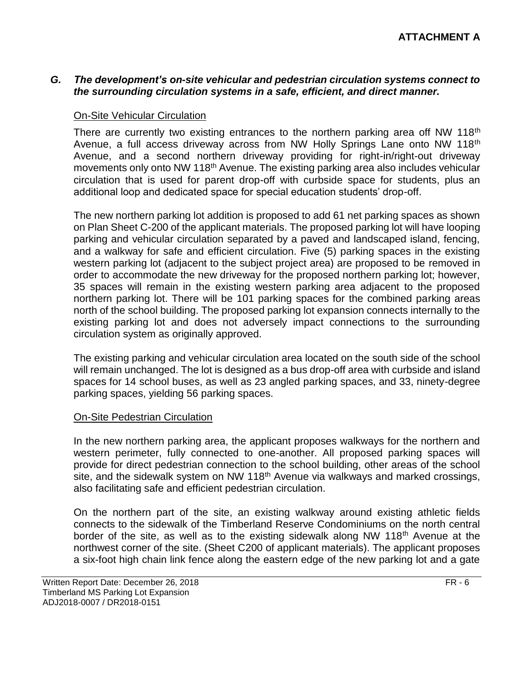#### *G. The development's on-site vehicular and pedestrian circulation systems connect to the surrounding circulation systems in a safe, efficient, and direct manner.*

#### On-Site Vehicular Circulation

There are currently two existing entrances to the northern parking area off NW 118<sup>th</sup> Avenue, a full access driveway across from NW Holly Springs Lane onto NW 118<sup>th</sup> Avenue, and a second northern driveway providing for right-in/right-out driveway movements only onto NW 118<sup>th</sup> Avenue. The existing parking area also includes vehicular circulation that is used for parent drop-off with curbside space for students, plus an additional loop and dedicated space for special education students' drop-off.

The new northern parking lot addition is proposed to add 61 net parking spaces as shown on Plan Sheet C-200 of the applicant materials. The proposed parking lot will have looping parking and vehicular circulation separated by a paved and landscaped island, fencing, and a walkway for safe and efficient circulation. Five (5) parking spaces in the existing western parking lot (adjacent to the subject project area) are proposed to be removed in order to accommodate the new driveway for the proposed northern parking lot; however, 35 spaces will remain in the existing western parking area adjacent to the proposed northern parking lot. There will be 101 parking spaces for the combined parking areas north of the school building. The proposed parking lot expansion connects internally to the existing parking lot and does not adversely impact connections to the surrounding circulation system as originally approved.

The existing parking and vehicular circulation area located on the south side of the school will remain unchanged. The lot is designed as a bus drop-off area with curbside and island spaces for 14 school buses, as well as 23 angled parking spaces, and 33, ninety-degree parking spaces, yielding 56 parking spaces.

#### **On-Site Pedestrian Circulation**

In the new northern parking area, the applicant proposes walkways for the northern and western perimeter, fully connected to one-another. All proposed parking spaces will provide for direct pedestrian connection to the school building, other areas of the school site, and the sidewalk system on NW 118<sup>th</sup> Avenue via walkways and marked crossings, also facilitating safe and efficient pedestrian circulation.

On the northern part of the site, an existing walkway around existing athletic fields connects to the sidewalk of the Timberland Reserve Condominiums on the north central border of the site, as well as to the existing sidewalk along NW 118<sup>th</sup> Avenue at the northwest corner of the site. (Sheet C200 of applicant materials). The applicant proposes a six-foot high chain link fence along the eastern edge of the new parking lot and a gate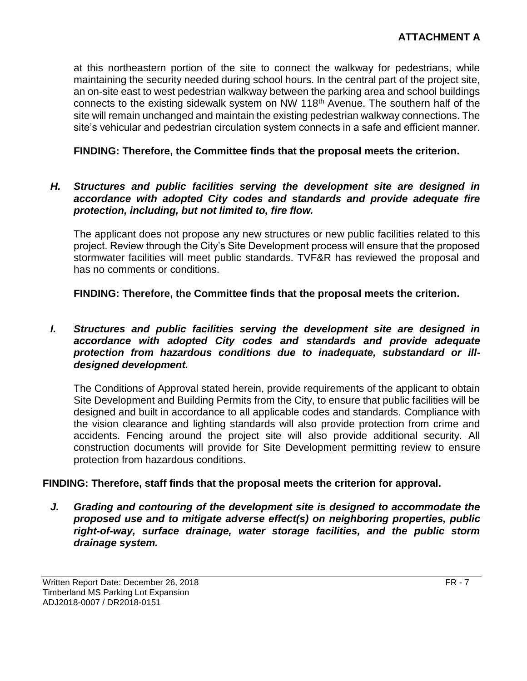at this northeastern portion of the site to connect the walkway for pedestrians, while maintaining the security needed during school hours. In the central part of the project site, an on-site east to west pedestrian walkway between the parking area and school buildings connects to the existing sidewalk system on NW 118th Avenue. The southern half of the site will remain unchanged and maintain the existing pedestrian walkway connections. The site's vehicular and pedestrian circulation system connects in a safe and efficient manner.

#### **FINDING: Therefore, the Committee finds that the proposal meets the criterion.**

#### *H. Structures and public facilities serving the development site are designed in accordance with adopted City codes and standards and provide adequate fire protection, including, but not limited to, fire flow.*

The applicant does not propose any new structures or new public facilities related to this project. Review through the City's Site Development process will ensure that the proposed stormwater facilities will meet public standards. TVF&R has reviewed the proposal and has no comments or conditions.

**FINDING: Therefore, the Committee finds that the proposal meets the criterion.**

#### *I. Structures and public facilities serving the development site are designed in accordance with adopted City codes and standards and provide adequate protection from hazardous conditions due to inadequate, substandard or illdesigned development.*

The Conditions of Approval stated herein, provide requirements of the applicant to obtain Site Development and Building Permits from the City, to ensure that public facilities will be designed and built in accordance to all applicable codes and standards. Compliance with the vision clearance and lighting standards will also provide protection from crime and accidents. Fencing around the project site will also provide additional security. All construction documents will provide for Site Development permitting review to ensure protection from hazardous conditions.

#### **FINDING: Therefore, staff finds that the proposal meets the criterion for approval.**

*J. Grading and contouring of the development site is designed to accommodate the proposed use and to mitigate adverse effect(s) on neighboring properties, public right-of-way, surface drainage, water storage facilities, and the public storm drainage system.*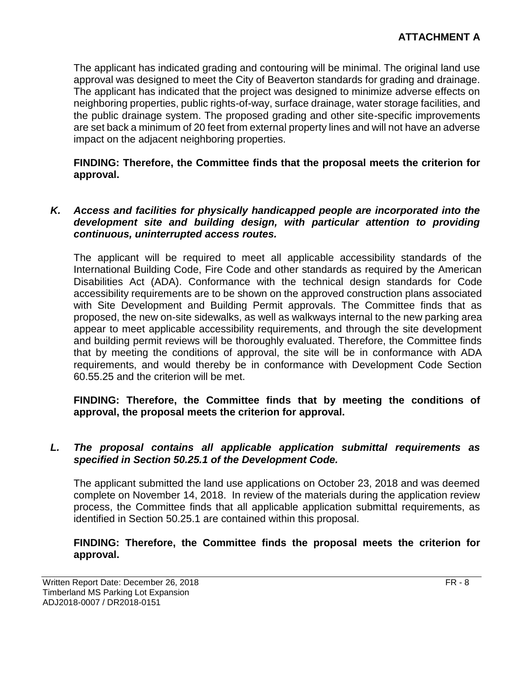The applicant has indicated grading and contouring will be minimal. The original land use approval was designed to meet the City of Beaverton standards for grading and drainage. The applicant has indicated that the project was designed to minimize adverse effects on neighboring properties, public rights-of-way, surface drainage, water storage facilities, and the public drainage system. The proposed grading and other site-specific improvements are set back a minimum of 20 feet from external property lines and will not have an adverse impact on the adjacent neighboring properties.

**FINDING: Therefore, the Committee finds that the proposal meets the criterion for approval.**

#### *K. Access and facilities for physically handicapped people are incorporated into the development site and building design, with particular attention to providing continuous, uninterrupted access routes.*

The applicant will be required to meet all applicable accessibility standards of the International Building Code, Fire Code and other standards as required by the American Disabilities Act (ADA). Conformance with the technical design standards for Code accessibility requirements are to be shown on the approved construction plans associated with Site Development and Building Permit approvals. The Committee finds that as proposed, the new on-site sidewalks, as well as walkways internal to the new parking area appear to meet applicable accessibility requirements, and through the site development and building permit reviews will be thoroughly evaluated. Therefore, the Committee finds that by meeting the conditions of approval, the site will be in conformance with ADA requirements, and would thereby be in conformance with Development Code Section 60.55.25 and the criterion will be met.

#### **FINDING: Therefore, the Committee finds that by meeting the conditions of approval, the proposal meets the criterion for approval.**

#### *L. The proposal contains all applicable application submittal requirements as specified in Section 50.25.1 of the Development Code.*

The applicant submitted the land use applications on October 23, 2018 and was deemed complete on November 14, 2018. In review of the materials during the application review process, the Committee finds that all applicable application submittal requirements, as identified in Section 50.25.1 are contained within this proposal.

#### **FINDING: Therefore, the Committee finds the proposal meets the criterion for approval.**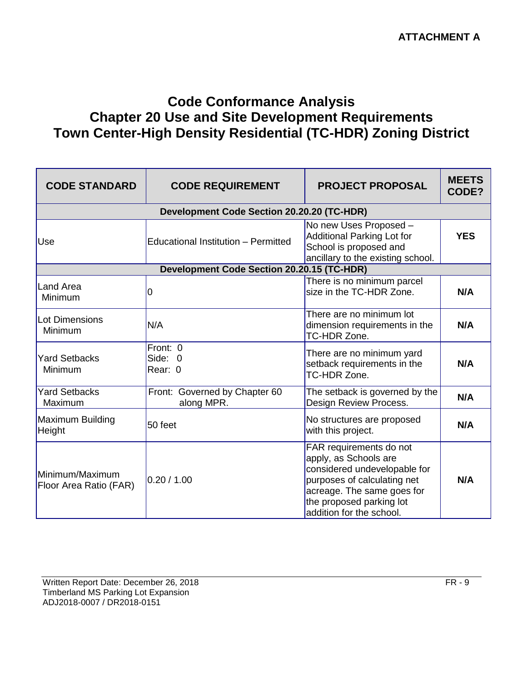# **Code Conformance Analysis Chapter 20 Use and Site Development Requirements Town Center-High Density Residential (TC-HDR) Zoning District**

| <b>CODE STANDARD</b>                      | <b>CODE REQUIREMENT</b>                           | <b>PROJECT PROPOSAL</b>                                                                                                                                                                               | <b>MEETS</b><br>CODE? |
|-------------------------------------------|---------------------------------------------------|-------------------------------------------------------------------------------------------------------------------------------------------------------------------------------------------------------|-----------------------|
|                                           | <b>Development Code Section 20.20.20 (TC-HDR)</b> |                                                                                                                                                                                                       |                       |
| Use                                       | <b>Educational Institution - Permitted</b>        | No new Uses Proposed -<br><b>Additional Parking Lot for</b><br>School is proposed and<br>ancillary to the existing school.                                                                            | <b>YES</b>            |
|                                           | <b>Development Code Section 20.20.15 (TC-HDR)</b> |                                                                                                                                                                                                       |                       |
| Land Area<br>Minimum                      | 0                                                 | There is no minimum parcel<br>size in the TC-HDR Zone.                                                                                                                                                | N/A                   |
| Lot Dimensions<br>Minimum                 | N/A                                               | There are no minimum lot<br>dimension requirements in the<br>TC-HDR Zone.                                                                                                                             | N/A                   |
| <b>Yard Setbacks</b><br>Minimum           | Front: 0<br>Side: 0<br>Rear: 0                    | There are no minimum yard<br>setback requirements in the<br>TC-HDR Zone.                                                                                                                              | N/A                   |
| <b>Yard Setbacks</b><br>Maximum           | Front: Governed by Chapter 60<br>along MPR.       | The setback is governed by the<br>Design Review Process.                                                                                                                                              | N/A                   |
| Maximum Building<br>Height                | 50 feet                                           | No structures are proposed<br>with this project.                                                                                                                                                      | N/A                   |
| Minimum/Maximum<br>Floor Area Ratio (FAR) | 0.20 / 1.00                                       | FAR requirements do not<br>apply, as Schools are<br>considered undevelopable for<br>purposes of calculating net<br>acreage. The same goes for<br>the proposed parking lot<br>addition for the school. | N/A                   |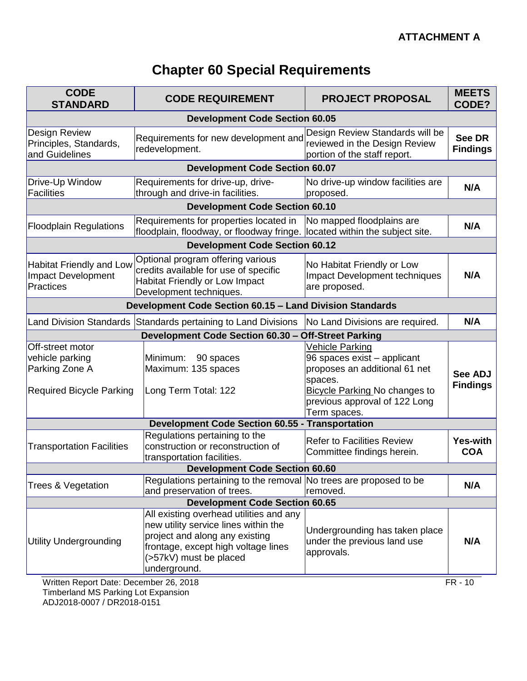# **Chapter 60 Special Requirements**

| <b>CODE</b><br><b>STANDARD</b>                                                           | <b>CODE REQUIREMENT</b>                                                                                                                                                                            | <b>PROJECT PROPOSAL</b>                                                                                                                                                             | <b>MEETS</b><br>CODE?             |
|------------------------------------------------------------------------------------------|----------------------------------------------------------------------------------------------------------------------------------------------------------------------------------------------------|-------------------------------------------------------------------------------------------------------------------------------------------------------------------------------------|-----------------------------------|
|                                                                                          | <b>Development Code Section 60.05</b>                                                                                                                                                              |                                                                                                                                                                                     |                                   |
| <b>Design Review</b><br>Principles, Standards,<br>and Guidelines                         | Requirements for new development and<br>redevelopment.                                                                                                                                             | Design Review Standards will be<br>reviewed in the Design Review<br>portion of the staff report.                                                                                    | <b>See DR</b><br><b>Findings</b>  |
|                                                                                          | <b>Development Code Section 60.07</b>                                                                                                                                                              |                                                                                                                                                                                     |                                   |
| Drive-Up Window<br>Facilities                                                            | Requirements for drive-up, drive-<br>through and drive-in facilities.                                                                                                                              | No drive-up window facilities are<br>proposed.                                                                                                                                      | N/A                               |
|                                                                                          | <b>Development Code Section 60.10</b>                                                                                                                                                              |                                                                                                                                                                                     |                                   |
| <b>Floodplain Regulations</b>                                                            | Requirements for properties located in<br>floodplain, floodway, or floodway fringe. located within the subject site.                                                                               | No mapped floodplains are                                                                                                                                                           | N/A                               |
|                                                                                          | <b>Development Code Section 60.12</b>                                                                                                                                                              |                                                                                                                                                                                     |                                   |
| <b>Habitat Friendly and Low</b><br><b>Impact Development</b><br><b>Practices</b>         | Optional program offering various<br>credits available for use of specific<br><b>Habitat Friendly or Low Impact</b><br>Development techniques.                                                     | No Habitat Friendly or Low<br><b>Impact Development techniques</b><br>are proposed.                                                                                                 | N/A                               |
|                                                                                          | Development Code Section 60.15 - Land Division Standards                                                                                                                                           |                                                                                                                                                                                     |                                   |
|                                                                                          | Land Division Standards Standards pertaining to Land Divisions                                                                                                                                     | No Land Divisions are required.                                                                                                                                                     | N/A                               |
|                                                                                          | Development Code Section 60.30 - Off-Street Parking                                                                                                                                                |                                                                                                                                                                                     |                                   |
| Off-street motor<br>vehicle parking<br>Parking Zone A<br><b>Required Bicycle Parking</b> | Minimum:<br>90 spaces<br>Maximum: 135 spaces<br>Long Term Total: 122                                                                                                                               | Vehicle Parking<br>96 spaces exist - applicant<br>proposes an additional 61 net<br>spaces.<br><b>Bicycle Parking No changes to</b><br>previous approval of 122 Long<br>Term spaces. | <b>See ADJ</b><br><b>Findings</b> |
|                                                                                          | <b>Development Code Section 60.55 -</b>                                                                                                                                                            | <b>Transportation</b>                                                                                                                                                               |                                   |
| <b>Transportation Facilities</b>                                                         | Regulations pertaining to the<br>construction or reconstruction of<br>transportation facilities.                                                                                                   | <b>Refer to Facilities Review</b><br>Committee findings herein.                                                                                                                     | <b>Yes-with</b><br><b>COA</b>     |
|                                                                                          | <b>Development Code Section 60.60</b>                                                                                                                                                              |                                                                                                                                                                                     |                                   |
| Trees & Vegetation                                                                       | Regulations pertaining to the removal No trees are proposed to be<br>and preservation of trees.                                                                                                    | removed.                                                                                                                                                                            | N/A                               |
| <b>Development Code Section 60.65</b>                                                    |                                                                                                                                                                                                    |                                                                                                                                                                                     |                                   |
| <b>Utility Undergrounding</b>                                                            | All existing overhead utilities and any<br>new utility service lines within the<br>project and along any existing<br>frontage, except high voltage lines<br>(>57kV) must be placed<br>underground. | Undergrounding has taken place<br>under the previous land use<br>approvals.                                                                                                         | N/A                               |
| Written Report Date: December 26, 2018                                                   |                                                                                                                                                                                                    |                                                                                                                                                                                     | FR - 10                           |

Timberland MS Parking Lot Expansion ADJ2018-0007 / DR2018-0151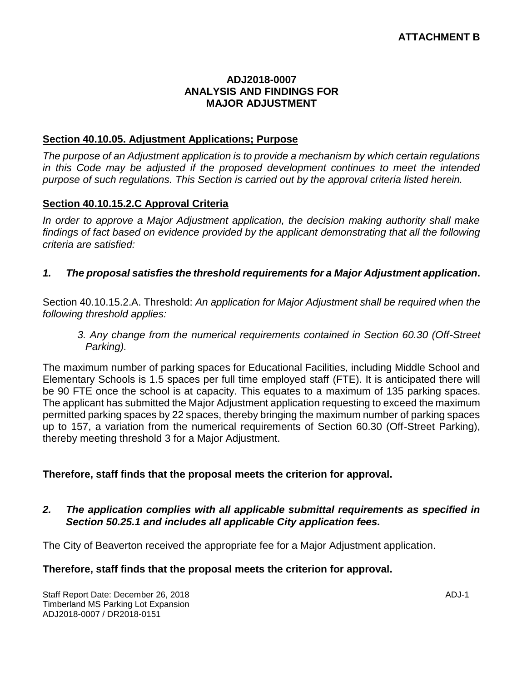#### **ADJ2018-0007 ANALYSIS AND FINDINGS FOR MAJOR ADJUSTMENT**

#### **Section 40.10.05. Adjustment Applications; Purpose**

*The purpose of an Adjustment application is to provide a mechanism by which certain regulations in this Code may be adjusted if the proposed development continues to meet the intended purpose of such regulations. This Section is carried out by the approval criteria listed herein.*

#### **Section 40.10.15.2.C Approval Criteria**

*In order to approve a Major Adjustment application, the decision making authority shall make findings of fact based on evidence provided by the applicant demonstrating that all the following criteria are satisfied:*

#### *1. The proposal satisfies the threshold requirements for a Major Adjustment application***.**

Section 40.10.15.2.A. Threshold: *An application for Major Adjustment shall be required when the following threshold applies:*

*3. Any change from the numerical requirements contained in Section 60.30 (Off-Street Parking).*

The maximum number of parking spaces for Educational Facilities, including Middle School and Elementary Schools is 1.5 spaces per full time employed staff (FTE). It is anticipated there will be 90 FTE once the school is at capacity. This equates to a maximum of 135 parking spaces. The applicant has submitted the Major Adjustment application requesting to exceed the maximum permitted parking spaces by 22 spaces, thereby bringing the maximum number of parking spaces up to 157, a variation from the numerical requirements of Section 60.30 (Off-Street Parking), thereby meeting threshold 3 for a Major Adjustment.

#### **Therefore, staff finds that the proposal meets the criterion for approval.**

#### *2. The application complies with all applicable submittal requirements as specified in Section 50.25.1 and includes all applicable City application fees.*

The City of Beaverton received the appropriate fee for a Major Adjustment application.

#### **Therefore, staff finds that the proposal meets the criterion for approval.**

Staff Report Date: December 26, 2018 **ADJ-1** Timberland MS Parking Lot Expansion ADJ2018-0007 / DR2018-0151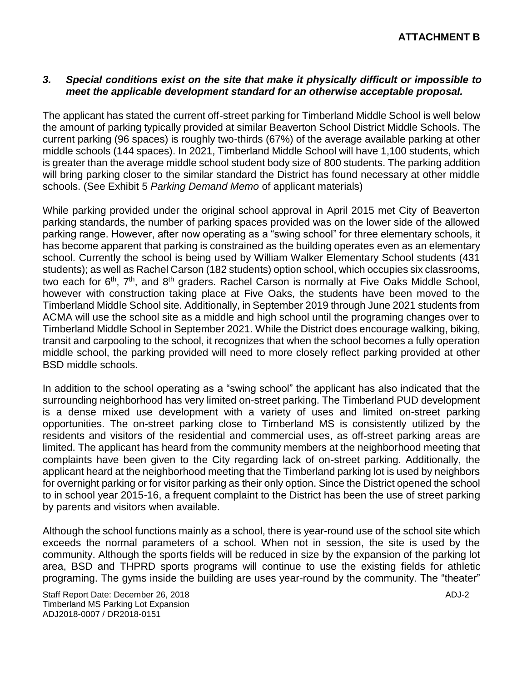#### *3. Special conditions exist on the site that make it physically difficult or impossible to meet the applicable development standard for an otherwise acceptable proposal.*

The applicant has stated the current off-street parking for Timberland Middle School is well below the amount of parking typically provided at similar Beaverton School District Middle Schools. The current parking (96 spaces) is roughly two-thirds (67%) of the average available parking at other middle schools (144 spaces). In 2021, Timberland Middle School will have 1,100 students, which is greater than the average middle school student body size of 800 students. The parking addition will bring parking closer to the similar standard the District has found necessary at other middle schools. (See Exhibit 5 *Parking Demand Memo* of applicant materials)

While parking provided under the original school approval in April 2015 met City of Beaverton parking standards, the number of parking spaces provided was on the lower side of the allowed parking range. However, after now operating as a "swing school" for three elementary schools, it has become apparent that parking is constrained as the building operates even as an elementary school. Currently the school is being used by William Walker Elementary School students (431 students); as well as Rachel Carson (182 students) option school, which occupies six classrooms, two each for  $6<sup>th</sup>$ ,  $7<sup>th</sup>$ , and  $8<sup>th</sup>$  graders. Rachel Carson is normally at Five Oaks Middle School, however with construction taking place at Five Oaks, the students have been moved to the Timberland Middle School site. Additionally, in September 2019 through June 2021 students from ACMA will use the school site as a middle and high school until the programing changes over to Timberland Middle School in September 2021. While the District does encourage walking, biking, transit and carpooling to the school, it recognizes that when the school becomes a fully operation middle school, the parking provided will need to more closely reflect parking provided at other BSD middle schools.

In addition to the school operating as a "swing school" the applicant has also indicated that the surrounding neighborhood has very limited on-street parking. The Timberland PUD development is a dense mixed use development with a variety of uses and limited on-street parking opportunities. The on-street parking close to Timberland MS is consistently utilized by the residents and visitors of the residential and commercial uses, as off-street parking areas are limited. The applicant has heard from the community members at the neighborhood meeting that complaints have been given to the City regarding lack of on-street parking. Additionally, the applicant heard at the neighborhood meeting that the Timberland parking lot is used by neighbors for overnight parking or for visitor parking as their only option. Since the District opened the school to in school year 2015-16, a frequent complaint to the District has been the use of street parking by parents and visitors when available.

Although the school functions mainly as a school, there is year-round use of the school site which exceeds the normal parameters of a school. When not in session, the site is used by the community. Although the sports fields will be reduced in size by the expansion of the parking lot area, BSD and THPRD sports programs will continue to use the existing fields for athletic programing. The gyms inside the building are uses year-round by the community. The "theater"

Staff Report Date: December 26, 2018 ADJ-2 ADJ-2 Timberland MS Parking Lot Expansion ADJ2018-0007 / DR2018-0151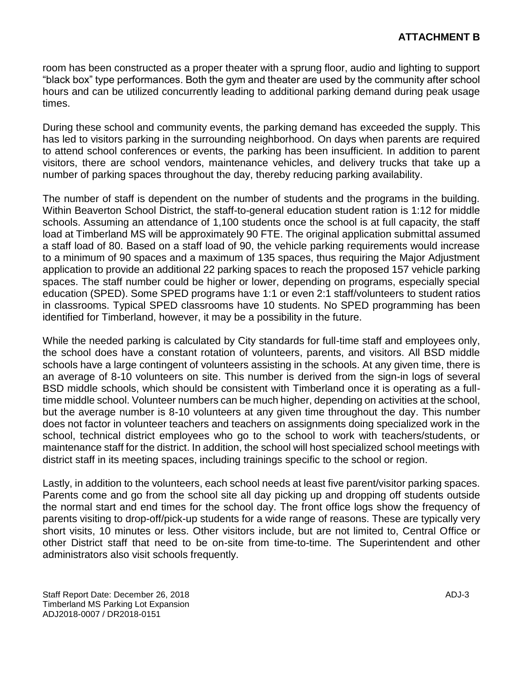room has been constructed as a proper theater with a sprung floor, audio and lighting to support "black box" type performances. Both the gym and theater are used by the community after school hours and can be utilized concurrently leading to additional parking demand during peak usage times.

During these school and community events, the parking demand has exceeded the supply. This has led to visitors parking in the surrounding neighborhood. On days when parents are required to attend school conferences or events, the parking has been insufficient. In addition to parent visitors, there are school vendors, maintenance vehicles, and delivery trucks that take up a number of parking spaces throughout the day, thereby reducing parking availability.

The number of staff is dependent on the number of students and the programs in the building. Within Beaverton School District, the staff-to-general education student ration is 1:12 for middle schools. Assuming an attendance of 1,100 students once the school is at full capacity, the staff load at Timberland MS will be approximately 90 FTE. The original application submittal assumed a staff load of 80. Based on a staff load of 90, the vehicle parking requirements would increase to a minimum of 90 spaces and a maximum of 135 spaces, thus requiring the Major Adjustment application to provide an additional 22 parking spaces to reach the proposed 157 vehicle parking spaces. The staff number could be higher or lower, depending on programs, especially special education (SPED). Some SPED programs have 1:1 or even 2:1 staff/volunteers to student ratios in classrooms. Typical SPED classrooms have 10 students. No SPED programming has been identified for Timberland, however, it may be a possibility in the future.

While the needed parking is calculated by City standards for full-time staff and employees only, the school does have a constant rotation of volunteers, parents, and visitors. All BSD middle schools have a large contingent of volunteers assisting in the schools. At any given time, there is an average of 8-10 volunteers on site. This number is derived from the sign-in logs of several BSD middle schools, which should be consistent with Timberland once it is operating as a fulltime middle school. Volunteer numbers can be much higher, depending on activities at the school, but the average number is 8-10 volunteers at any given time throughout the day. This number does not factor in volunteer teachers and teachers on assignments doing specialized work in the school, technical district employees who go to the school to work with teachers/students, or maintenance staff for the district. In addition, the school will host specialized school meetings with district staff in its meeting spaces, including trainings specific to the school or region.

Lastly, in addition to the volunteers, each school needs at least five parent/visitor parking spaces. Parents come and go from the school site all day picking up and dropping off students outside the normal start and end times for the school day. The front office logs show the frequency of parents visiting to drop-off/pick-up students for a wide range of reasons. These are typically very short visits, 10 minutes or less. Other visitors include, but are not limited to, Central Office or other District staff that need to be on-site from time-to-time. The Superintendent and other administrators also visit schools frequently.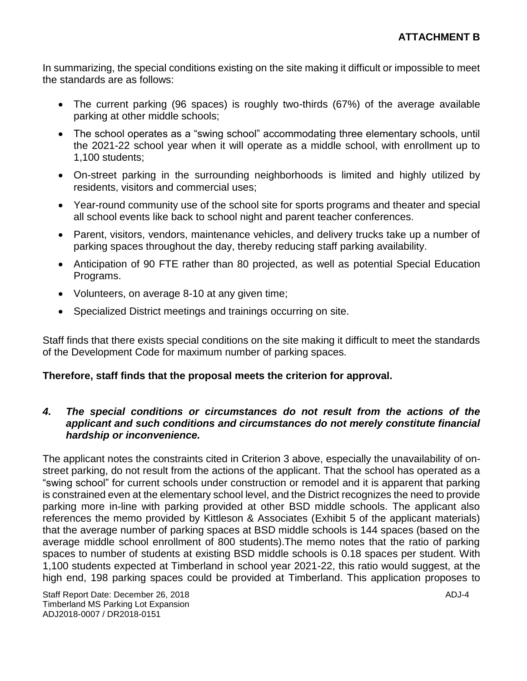In summarizing, the special conditions existing on the site making it difficult or impossible to meet the standards are as follows:

- The current parking (96 spaces) is roughly two-thirds (67%) of the average available parking at other middle schools;
- The school operates as a "swing school" accommodating three elementary schools, until the 2021-22 school year when it will operate as a middle school, with enrollment up to 1,100 students;
- On-street parking in the surrounding neighborhoods is limited and highly utilized by residents, visitors and commercial uses;
- Year-round community use of the school site for sports programs and theater and special all school events like back to school night and parent teacher conferences.
- Parent, visitors, vendors, maintenance vehicles, and delivery trucks take up a number of parking spaces throughout the day, thereby reducing staff parking availability.
- Anticipation of 90 FTE rather than 80 projected, as well as potential Special Education Programs.
- Volunteers, on average 8-10 at any given time;
- Specialized District meetings and trainings occurring on site.

Staff finds that there exists special conditions on the site making it difficult to meet the standards of the Development Code for maximum number of parking spaces.

### **Therefore, staff finds that the proposal meets the criterion for approval.**

#### *4. The special conditions or circumstances do not result from the actions of the applicant and such conditions and circumstances do not merely constitute financial hardship or inconvenience.*

The applicant notes the constraints cited in Criterion 3 above, especially the unavailability of onstreet parking, do not result from the actions of the applicant. That the school has operated as a "swing school" for current schools under construction or remodel and it is apparent that parking is constrained even at the elementary school level, and the District recognizes the need to provide parking more in-line with parking provided at other BSD middle schools. The applicant also references the memo provided by Kittleson & Associates (Exhibit 5 of the applicant materials) that the average number of parking spaces at BSD middle schools is 144 spaces (based on the average middle school enrollment of 800 students).The memo notes that the ratio of parking spaces to number of students at existing BSD middle schools is 0.18 spaces per student. With 1,100 students expected at Timberland in school year 2021-22, this ratio would suggest, at the high end, 198 parking spaces could be provided at Timberland. This application proposes to

Staff Report Date: December 26, 2018 ADJ-4 Timberland MS Parking Lot Expansion ADJ2018-0007 / DR2018-0151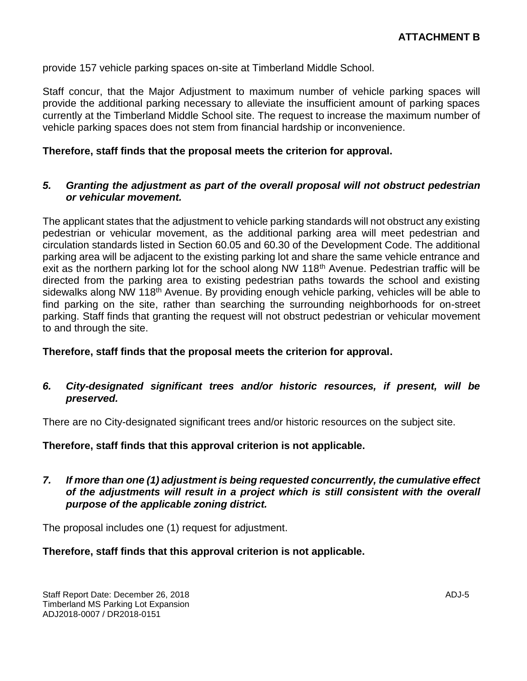provide 157 vehicle parking spaces on-site at Timberland Middle School.

Staff concur, that the Major Adjustment to maximum number of vehicle parking spaces will provide the additional parking necessary to alleviate the insufficient amount of parking spaces currently at the Timberland Middle School site. The request to increase the maximum number of vehicle parking spaces does not stem from financial hardship or inconvenience.

#### **Therefore, staff finds that the proposal meets the criterion for approval.**

#### *5. Granting the adjustment as part of the overall proposal will not obstruct pedestrian or vehicular movement.*

The applicant states that the adjustment to vehicle parking standards will not obstruct any existing pedestrian or vehicular movement, as the additional parking area will meet pedestrian and circulation standards listed in Section 60.05 and 60.30 of the Development Code. The additional parking area will be adjacent to the existing parking lot and share the same vehicle entrance and exit as the northern parking lot for the school along NW 118<sup>th</sup> Avenue. Pedestrian traffic will be directed from the parking area to existing pedestrian paths towards the school and existing sidewalks along NW 118<sup>th</sup> Avenue. By providing enough vehicle parking, vehicles will be able to find parking on the site, rather than searching the surrounding neighborhoods for on-street parking. Staff finds that granting the request will not obstruct pedestrian or vehicular movement to and through the site.

#### **Therefore, staff finds that the proposal meets the criterion for approval.**

#### *6. City-designated significant trees and/or historic resources, if present, will be preserved.*

There are no City-designated significant trees and/or historic resources on the subject site.

#### **Therefore, staff finds that this approval criterion is not applicable.**

#### *7. If more than one (1) adjustment is being requested concurrently, the cumulative effect of the adjustments will result in a project which is still consistent with the overall purpose of the applicable zoning district.*

The proposal includes one (1) request for adjustment.

#### **Therefore, staff finds that this approval criterion is not applicable.**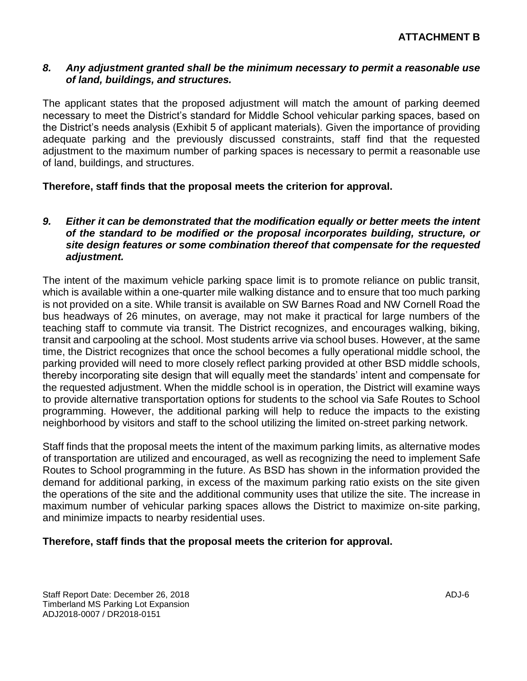#### *8. Any adjustment granted shall be the minimum necessary to permit a reasonable use of land, buildings, and structures.*

The applicant states that the proposed adjustment will match the amount of parking deemed necessary to meet the District's standard for Middle School vehicular parking spaces, based on the District's needs analysis (Exhibit 5 of applicant materials). Given the importance of providing adequate parking and the previously discussed constraints, staff find that the requested adjustment to the maximum number of parking spaces is necessary to permit a reasonable use of land, buildings, and structures.

#### **Therefore, staff finds that the proposal meets the criterion for approval.**

#### *9. Either it can be demonstrated that the modification equally or better meets the intent of the standard to be modified or the proposal incorporates building, structure, or site design features or some combination thereof that compensate for the requested adjustment.*

The intent of the maximum vehicle parking space limit is to promote reliance on public transit, which is available within a one-quarter mile walking distance and to ensure that too much parking is not provided on a site. While transit is available on SW Barnes Road and NW Cornell Road the bus headways of 26 minutes, on average, may not make it practical for large numbers of the teaching staff to commute via transit. The District recognizes, and encourages walking, biking, transit and carpooling at the school. Most students arrive via school buses. However, at the same time, the District recognizes that once the school becomes a fully operational middle school, the parking provided will need to more closely reflect parking provided at other BSD middle schools, thereby incorporating site design that will equally meet the standards' intent and compensate for the requested adjustment. When the middle school is in operation, the District will examine ways to provide alternative transportation options for students to the school via Safe Routes to School programming. However, the additional parking will help to reduce the impacts to the existing neighborhood by visitors and staff to the school utilizing the limited on-street parking network.

Staff finds that the proposal meets the intent of the maximum parking limits, as alternative modes of transportation are utilized and encouraged, as well as recognizing the need to implement Safe Routes to School programming in the future. As BSD has shown in the information provided the demand for additional parking, in excess of the maximum parking ratio exists on the site given the operations of the site and the additional community uses that utilize the site. The increase in maximum number of vehicular parking spaces allows the District to maximize on-site parking, and minimize impacts to nearby residential uses.

**Therefore, staff finds that the proposal meets the criterion for approval.**

Staff Report Date: December 26, 2018 **ADJ-6** ADJ-6 Timberland MS Parking Lot Expansion ADJ2018-0007 / DR2018-0151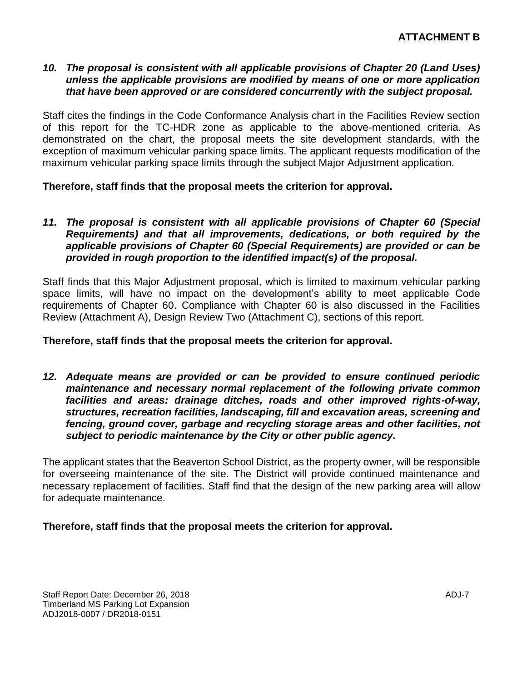#### *10. The proposal is consistent with all applicable provisions of Chapter 20 (Land Uses) unless the applicable provisions are modified by means of one or more application that have been approved or are considered concurrently with the subject proposal.*

Staff cites the findings in the Code Conformance Analysis chart in the Facilities Review section of this report for the TC-HDR zone as applicable to the above-mentioned criteria. As demonstrated on the chart, the proposal meets the site development standards, with the exception of maximum vehicular parking space limits. The applicant requests modification of the maximum vehicular parking space limits through the subject Major Adjustment application.

**Therefore, staff finds that the proposal meets the criterion for approval.**

#### 11. The proposal is consistent with all applicable provisions of Chapter 60 (Special *Requirements) and that all improvements, dedications, or both required by the applicable provisions of Chapter 60 (Special Requirements) are provided or can be provided in rough proportion to the identified impact(s) of the proposal.*

Staff finds that this Major Adjustment proposal, which is limited to maximum vehicular parking space limits, will have no impact on the development's ability to meet applicable Code requirements of Chapter 60. Compliance with Chapter 60 is also discussed in the Facilities Review (Attachment A), Design Review Two (Attachment C), sections of this report.

#### **Therefore, staff finds that the proposal meets the criterion for approval.**

*12. Adequate means are provided or can be provided to ensure continued periodic maintenance and necessary normal replacement of the following private common facilities and areas: drainage ditches, roads and other improved rights-of-way, structures, recreation facilities, landscaping, fill and excavation areas, screening and fencing, ground cover, garbage and recycling storage areas and other facilities, not subject to periodic maintenance by the City or other public agency.*

The applicant states that the Beaverton School District, as the property owner, will be responsible for overseeing maintenance of the site. The District will provide continued maintenance and necessary replacement of facilities. Staff find that the design of the new parking area will allow for adequate maintenance.

#### **Therefore, staff finds that the proposal meets the criterion for approval.**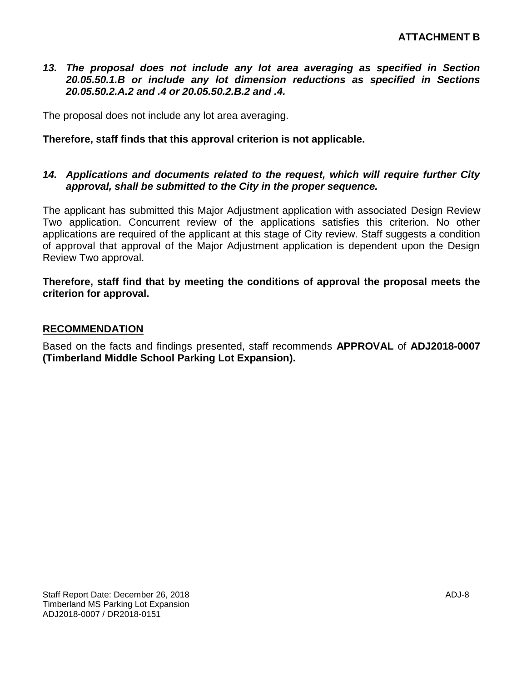#### 13. The proposal does not include any lot area averaging as specified in Section *20.05.50.1.B or include any lot dimension reductions as specified in Sections 20.05.50.2.A.2 and .4 or 20.05.50.2.B.2 and .4.*

The proposal does not include any lot area averaging.

#### **Therefore, staff finds that this approval criterion is not applicable.**

#### *14. Applications and documents related to the request, which will require further City approval, shall be submitted to the City in the proper sequence.*

The applicant has submitted this Major Adjustment application with associated Design Review Two application. Concurrent review of the applications satisfies this criterion. No other applications are required of the applicant at this stage of City review. Staff suggests a condition of approval that approval of the Major Adjustment application is dependent upon the Design Review Two approval.

**Therefore, staff find that by meeting the conditions of approval the proposal meets the criterion for approval.**

#### **RECOMMENDATION**

Based on the facts and findings presented, staff recommends **APPROVAL** of **ADJ2018-0007 (Timberland Middle School Parking Lot Expansion).**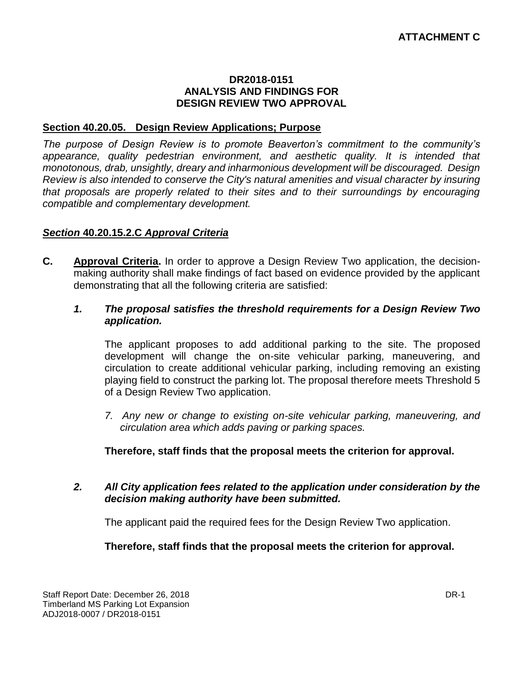#### **DR2018-0151 ANALYSIS AND FINDINGS FOR DESIGN REVIEW TWO APPROVAL**

#### **Section 40.20.05. Design Review Applications; Purpose**

*The purpose of Design Review is to promote Beaverton's commitment to the community's appearance, quality pedestrian environment, and aesthetic quality. It is intended that monotonous, drab, unsightly, dreary and inharmonious development will be discouraged. Design Review is also intended to conserve the City's natural amenities and visual character by insuring that proposals are properly related to their sites and to their surroundings by encouraging compatible and complementary development.*

#### *Section* **40.20.15.2.C** *Approval Criteria*

**C. Approval Criteria.** In order to approve a Design Review Two application, the decisionmaking authority shall make findings of fact based on evidence provided by the applicant demonstrating that all the following criteria are satisfied:

#### *1. The proposal satisfies the threshold requirements for a Design Review Two application.*

The applicant proposes to add additional parking to the site. The proposed development will change the on-site vehicular parking, maneuvering, and circulation to create additional vehicular parking, including removing an existing playing field to construct the parking lot. The proposal therefore meets Threshold 5 of a Design Review Two application.

*7. Any new or change to existing on-site vehicular parking, maneuvering, and circulation area which adds paving or parking spaces.*

**Therefore, staff finds that the proposal meets the criterion for approval.**

#### *2. All City application fees related to the application under consideration by the decision making authority have been submitted.*

The applicant paid the required fees for the Design Review Two application.

**Therefore, staff finds that the proposal meets the criterion for approval.**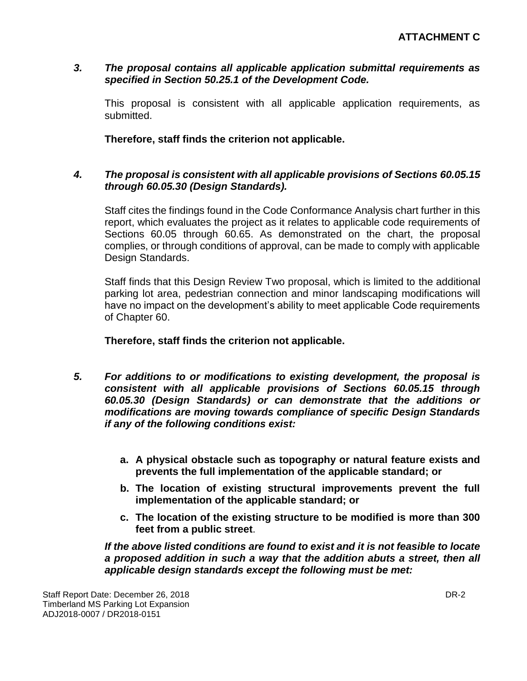#### *3. The proposal contains all applicable application submittal requirements as specified in Section 50.25.1 of the Development Code.*

This proposal is consistent with all applicable application requirements, as submitted.

**Therefore, staff finds the criterion not applicable.**

#### *4. The proposal is consistent with all applicable provisions of Sections 60.05.15 through 60.05.30 (Design Standards).*

Staff cites the findings found in the Code Conformance Analysis chart further in this report, which evaluates the project as it relates to applicable code requirements of Sections 60.05 through 60.65. As demonstrated on the chart, the proposal complies, or through conditions of approval, can be made to comply with applicable Design Standards.

Staff finds that this Design Review Two proposal, which is limited to the additional parking lot area, pedestrian connection and minor landscaping modifications will have no impact on the development's ability to meet applicable Code requirements of Chapter 60.

**Therefore, staff finds the criterion not applicable.**

- *5. For additions to or modifications to existing development, the proposal is consistent with all applicable provisions of Sections 60.05.15 through 60.05.30 (Design Standards) or can demonstrate that the additions or modifications are moving towards compliance of specific Design Standards if any of the following conditions exist:*
	- **a. A physical obstacle such as topography or natural feature exists and prevents the full implementation of the applicable standard; or**
	- **b. The location of existing structural improvements prevent the full implementation of the applicable standard; or**
	- **c. The location of the existing structure to be modified is more than 300 feet from a public street**.

*If the above listed conditions are found to exist and it is not feasible to locate a proposed addition in such a way that the addition abuts a street, then all applicable design standards except the following must be met:*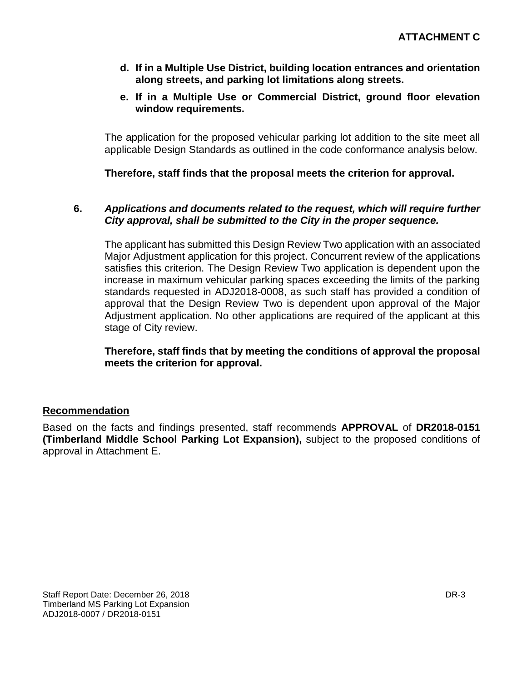- **d. If in a Multiple Use District, building location entrances and orientation along streets, and parking lot limitations along streets.**
- **e. If in a Multiple Use or Commercial District, ground floor elevation window requirements.**

The application for the proposed vehicular parking lot addition to the site meet all applicable Design Standards as outlined in the code conformance analysis below.

**Therefore, staff finds that the proposal meets the criterion for approval.**

#### **6.** *Applications and documents related to the request, which will require further City approval, shall be submitted to the City in the proper sequence.*

The applicant has submitted this Design Review Two application with an associated Major Adjustment application for this project. Concurrent review of the applications satisfies this criterion. The Design Review Two application is dependent upon the increase in maximum vehicular parking spaces exceeding the limits of the parking standards requested in ADJ2018-0008, as such staff has provided a condition of approval that the Design Review Two is dependent upon approval of the Major Adjustment application. No other applications are required of the applicant at this stage of City review.

**Therefore, staff finds that by meeting the conditions of approval the proposal meets the criterion for approval.**

### **Recommendation**

Based on the facts and findings presented, staff recommends **APPROVAL** of **DR2018-0151 (Timberland Middle School Parking Lot Expansion),** subject to the proposed conditions of approval in Attachment E.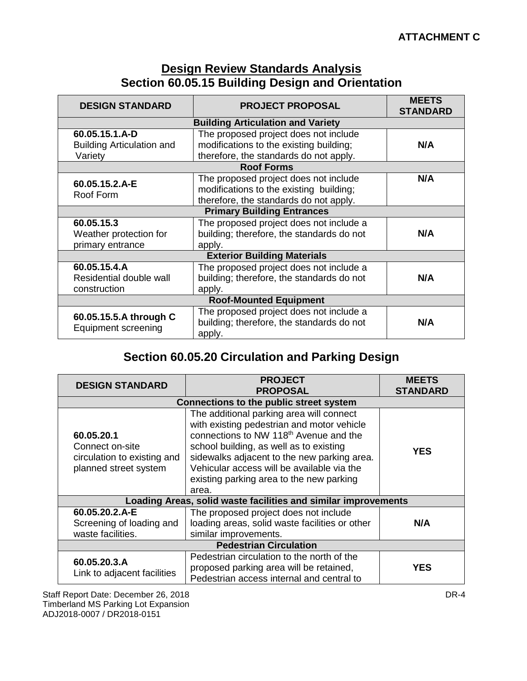# **Design Review Standards Analysis Section 60.05.15 Building Design and Orientation**

| <b>DESIGN STANDARD</b>                               | <b>PROJECT PROPOSAL</b>                                                                        | <b>MEETS</b><br><b>STANDARD</b> |
|------------------------------------------------------|------------------------------------------------------------------------------------------------|---------------------------------|
|                                                      | <b>Building Articulation and Variety</b>                                                       |                                 |
| 60.05.15.1.A-D                                       | The proposed project does not include                                                          |                                 |
| <b>Building Articulation and</b>                     | modifications to the existing building;                                                        | N/A                             |
| Variety                                              | therefore, the standards do not apply.                                                         |                                 |
|                                                      | <b>Roof Forms</b>                                                                              |                                 |
| 60.05.15.2.A-E                                       | The proposed project does not include                                                          | N/A                             |
| Roof Form                                            | modifications to the existing building;                                                        |                                 |
|                                                      | therefore, the standards do not apply.                                                         |                                 |
|                                                      | <b>Primary Building Entrances</b>                                                              |                                 |
| 60.05.15.3                                           | The proposed project does not include a                                                        |                                 |
| Weather protection for                               | building; therefore, the standards do not                                                      | N/A                             |
| primary entrance                                     | apply.                                                                                         |                                 |
|                                                      | <b>Exterior Building Materials</b>                                                             |                                 |
| 60.05.15.4.A                                         | The proposed project does not include a                                                        |                                 |
| Residential double wall                              | building; therefore, the standards do not                                                      | N/A                             |
| construction                                         | apply.                                                                                         |                                 |
| <b>Roof-Mounted Equipment</b>                        |                                                                                                |                                 |
| 60.05.15.5.A through C<br><b>Equipment screening</b> | The proposed project does not include a<br>building; therefore, the standards do not<br>apply. | N/A                             |

# **Section 60.05.20 Circulation and Parking Design**

| <b>DESIGN STANDARD</b>                                                                | <b>PROJECT</b><br><b>PROPOSAL</b>                                                                                                                                                                                                                                                                                                         | <b>MEETS</b><br><b>STANDARD</b> |
|---------------------------------------------------------------------------------------|-------------------------------------------------------------------------------------------------------------------------------------------------------------------------------------------------------------------------------------------------------------------------------------------------------------------------------------------|---------------------------------|
|                                                                                       | <b>Connections to the public street system</b>                                                                                                                                                                                                                                                                                            |                                 |
| 60.05.20.1<br>Connect on-site<br>circulation to existing and<br>planned street system | The additional parking area will connect<br>with existing pedestrian and motor vehicle<br>connections to NW 118 <sup>th</sup> Avenue and the<br>school building, as well as to existing<br>sidewalks adjacent to the new parking area.<br>Vehicular access will be available via the<br>existing parking area to the new parking<br>area. | <b>YES</b>                      |
|                                                                                       | Loading Areas, solid waste facilities and similar improvements                                                                                                                                                                                                                                                                            |                                 |
| 60.05.20.2.A-E<br>Screening of loading and<br>waste facilities.                       | The proposed project does not include<br>loading areas, solid waste facilities or other<br>similar improvements.                                                                                                                                                                                                                          | N/A                             |
| <b>Pedestrian Circulation</b>                                                         |                                                                                                                                                                                                                                                                                                                                           |                                 |
| 60.05.20.3.A<br>Link to adjacent facilities                                           | Pedestrian circulation to the north of the<br>proposed parking area will be retained,<br>Pedestrian access internal and central to                                                                                                                                                                                                        | <b>YES</b>                      |

Staff Report Date: December 26, 2018 **DR-4** Timberland MS Parking Lot Expansion ADJ2018-0007 / DR2018-0151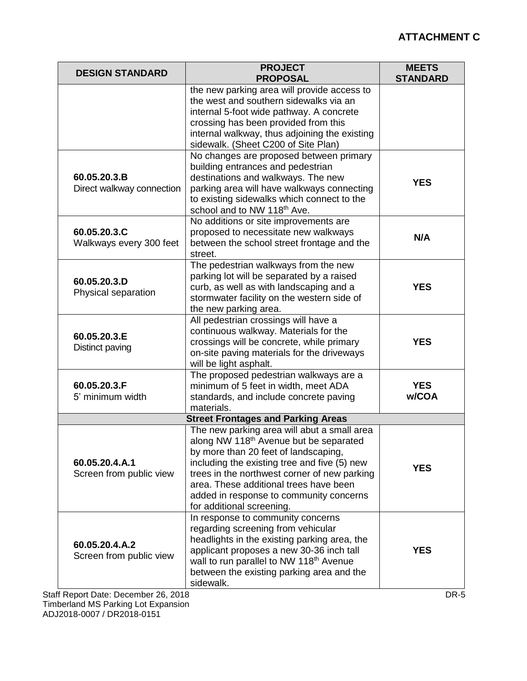## **ATTACHMENT C**

| <b>DESIGN STANDARD</b>                                                            | <b>PROJECT</b><br><b>PROPOSAL</b>                                                                                                                                                                                                                                                                                                                           | <b>MEETS</b><br><b>STANDARD</b> |
|-----------------------------------------------------------------------------------|-------------------------------------------------------------------------------------------------------------------------------------------------------------------------------------------------------------------------------------------------------------------------------------------------------------------------------------------------------------|---------------------------------|
|                                                                                   | the new parking area will provide access to<br>the west and southern sidewalks via an<br>internal 5-foot wide pathway. A concrete<br>crossing has been provided from this<br>internal walkway, thus adjoining the existing<br>sidewalk. (Sheet C200 of Site Plan)                                                                                           |                                 |
| 60.05.20.3.B<br>Direct walkway connection                                         | No changes are proposed between primary<br>building entrances and pedestrian<br>destinations and walkways. The new<br>parking area will have walkways connecting<br>to existing sidewalks which connect to the<br>school and to NW 118 <sup>th</sup> Ave.                                                                                                   | <b>YES</b>                      |
| 60.05.20.3.C<br>Walkways every 300 feet                                           | No additions or site improvements are<br>proposed to necessitate new walkways<br>between the school street frontage and the<br>street.                                                                                                                                                                                                                      | N/A                             |
| 60.05.20.3.D<br>Physical separation                                               | The pedestrian walkways from the new<br>parking lot will be separated by a raised<br>curb, as well as with landscaping and a<br>stormwater facility on the western side of<br>the new parking area.                                                                                                                                                         | <b>YES</b>                      |
| 60.05.20.3.E<br>Distinct paving                                                   | All pedestrian crossings will have a<br>continuous walkway. Materials for the<br>crossings will be concrete, while primary<br>on-site paving materials for the driveways<br>will be light asphalt.                                                                                                                                                          | <b>YES</b>                      |
| 60.05.20.3.F<br>5' minimum width                                                  | The proposed pedestrian walkways are a<br>minimum of 5 feet in width, meet ADA<br>standards, and include concrete paving<br>materials.                                                                                                                                                                                                                      | <b>YES</b><br>w/COA             |
|                                                                                   | <b>Street Frontages and Parking Areas</b>                                                                                                                                                                                                                                                                                                                   |                                 |
| 60.05.20.4.A.1<br>Screen from public view                                         | The new parking area will abut a small area<br>along NW 118 <sup>th</sup> Avenue but be separated<br>by more than 20 feet of landscaping,<br>including the existing tree and five (5) new<br>trees in the northwest corner of new parking<br>area. These additional trees have been<br>added in response to community concerns<br>for additional screening. | <b>YES</b>                      |
| 60.05.20.4.A.2<br>Screen from public view<br>Staff Report Date: December 26, 2018 | In response to community concerns<br>regarding screening from vehicular<br>headlights in the existing parking area, the<br>applicant proposes a new 30-36 inch tall<br>wall to run parallel to NW 118 <sup>th</sup> Avenue<br>between the existing parking area and the<br>sidewalk.                                                                        | <b>YES</b><br>DR-5              |

Timberland MS Parking Lot Expansion ADJ2018-0007 / DR2018-0151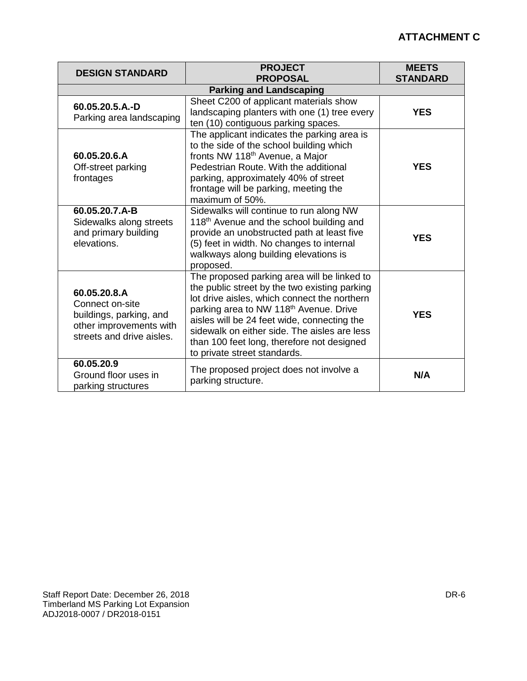## **ATTACHMENT C**

| <b>DESIGN STANDARD</b>                                                                                             | <b>PROJECT</b><br><b>PROPOSAL</b>                                                                                                                                                                                                                                                                                                                                               | <b>MEETS</b><br><b>STANDARD</b> |
|--------------------------------------------------------------------------------------------------------------------|---------------------------------------------------------------------------------------------------------------------------------------------------------------------------------------------------------------------------------------------------------------------------------------------------------------------------------------------------------------------------------|---------------------------------|
|                                                                                                                    | <b>Parking and Landscaping</b>                                                                                                                                                                                                                                                                                                                                                  |                                 |
| 60.05.20.5.A.-D<br>Parking area landscaping                                                                        | Sheet C200 of applicant materials show<br>landscaping planters with one (1) tree every<br>ten (10) contiguous parking spaces.                                                                                                                                                                                                                                                   | <b>YES</b>                      |
| 60.05.20.6.A<br>Off-street parking<br>frontages                                                                    | The applicant indicates the parking area is<br>to the side of the school building which<br>fronts NW 118 <sup>th</sup> Avenue, a Major<br>Pedestrian Route. With the additional<br>parking, approximately 40% of street<br>frontage will be parking, meeting the<br>maximum of 50%.                                                                                             | <b>YES</b>                      |
| 60.05.20.7.A-B<br>Sidewalks along streets<br>and primary building<br>elevations.                                   | Sidewalks will continue to run along NW<br>118 <sup>th</sup> Avenue and the school building and<br>provide an unobstructed path at least five<br>(5) feet in width. No changes to internal<br>walkways along building elevations is<br>proposed.                                                                                                                                | <b>YES</b>                      |
| 60.05.20.8.A<br>Connect on-site<br>buildings, parking, and<br>other improvements with<br>streets and drive aisles. | The proposed parking area will be linked to<br>the public street by the two existing parking<br>lot drive aisles, which connect the northern<br>parking area to NW 118 <sup>th</sup> Avenue. Drive<br>aisles will be 24 feet wide, connecting the<br>sidewalk on either side. The aisles are less<br>than 100 feet long, therefore not designed<br>to private street standards. | <b>YES</b>                      |
| 60.05.20.9<br>Ground floor uses in<br>parking structures                                                           | The proposed project does not involve a<br>parking structure.                                                                                                                                                                                                                                                                                                                   | N/A                             |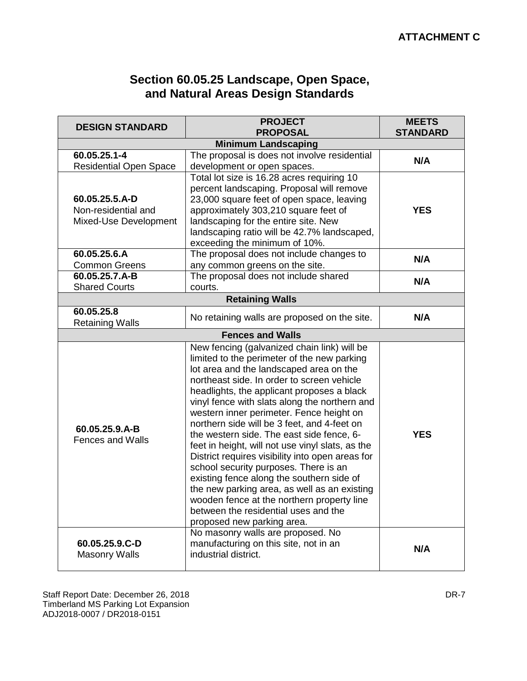# **Section 60.05.25 Landscape, Open Space, and Natural Areas Design Standards**

| <b>DESIGN STANDARD</b>                                         | <b>PROJECT</b><br><b>PROPOSAL</b>                                                                                                                                                                                                                                                                                                                                                                                                                                                                                                                                                                                                                                                                                                                                                            | <b>MEETS</b><br><b>STANDARD</b> |  |
|----------------------------------------------------------------|----------------------------------------------------------------------------------------------------------------------------------------------------------------------------------------------------------------------------------------------------------------------------------------------------------------------------------------------------------------------------------------------------------------------------------------------------------------------------------------------------------------------------------------------------------------------------------------------------------------------------------------------------------------------------------------------------------------------------------------------------------------------------------------------|---------------------------------|--|
| <b>Minimum Landscaping</b>                                     |                                                                                                                                                                                                                                                                                                                                                                                                                                                                                                                                                                                                                                                                                                                                                                                              |                                 |  |
| 60.05.25.1-4<br><b>Residential Open Space</b>                  | The proposal is does not involve residential<br>development or open spaces.                                                                                                                                                                                                                                                                                                                                                                                                                                                                                                                                                                                                                                                                                                                  | N/A                             |  |
| 60.05.25.5.A-D<br>Non-residential and<br>Mixed-Use Development | Total lot size is 16.28 acres requiring 10<br>percent landscaping. Proposal will remove<br>23,000 square feet of open space, leaving<br>approximately 303,210 square feet of<br>landscaping for the entire site. New<br>landscaping ratio will be 42.7% landscaped,<br>exceeding the minimum of 10%.                                                                                                                                                                                                                                                                                                                                                                                                                                                                                         | <b>YES</b>                      |  |
| 60.05.25.6.A<br><b>Common Greens</b>                           | The proposal does not include changes to<br>any common greens on the site.                                                                                                                                                                                                                                                                                                                                                                                                                                                                                                                                                                                                                                                                                                                   | N/A                             |  |
| 60.05.25.7.A-B<br><b>Shared Courts</b>                         | The proposal does not include shared<br>courts.                                                                                                                                                                                                                                                                                                                                                                                                                                                                                                                                                                                                                                                                                                                                              | N/A                             |  |
|                                                                | <b>Retaining Walls</b>                                                                                                                                                                                                                                                                                                                                                                                                                                                                                                                                                                                                                                                                                                                                                                       |                                 |  |
| 60.05.25.8<br><b>Retaining Walls</b>                           | No retaining walls are proposed on the site.                                                                                                                                                                                                                                                                                                                                                                                                                                                                                                                                                                                                                                                                                                                                                 | N/A                             |  |
|                                                                | <b>Fences and Walls</b>                                                                                                                                                                                                                                                                                                                                                                                                                                                                                                                                                                                                                                                                                                                                                                      |                                 |  |
| 60.05.25.9.A-B<br><b>Fences and Walls</b>                      | New fencing (galvanized chain link) will be<br>limited to the perimeter of the new parking<br>lot area and the landscaped area on the<br>northeast side. In order to screen vehicle<br>headlights, the applicant proposes a black<br>vinyl fence with slats along the northern and<br>western inner perimeter. Fence height on<br>northern side will be 3 feet, and 4-feet on<br>the western side. The east side fence, 6-<br>feet in height, will not use vinyl slats, as the<br>District requires visibility into open areas for<br>school security purposes. There is an<br>existing fence along the southern side of<br>the new parking area, as well as an existing<br>wooden fence at the northern property line<br>between the residential uses and the<br>proposed new parking area. | <b>YES</b>                      |  |
| 60.05.25.9.C-D<br><b>Masonry Walls</b>                         | No masonry walls are proposed. No<br>manufacturing on this site, not in an<br>industrial district.                                                                                                                                                                                                                                                                                                                                                                                                                                                                                                                                                                                                                                                                                           | N/A                             |  |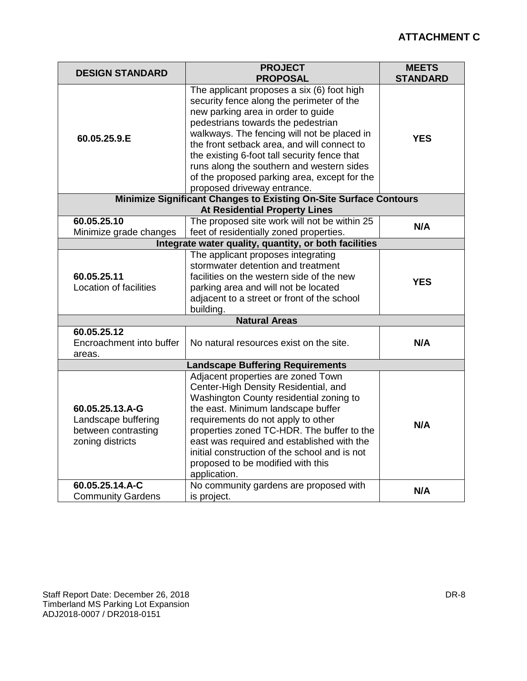| <b>DESIGN STANDARD</b>                                                                                    | <b>PROJECT</b><br><b>PROPOSAL</b>                                                                                                                                                                                                                                                                                                                                                                                                             | <b>MEETS</b><br><b>STANDARD</b> |
|-----------------------------------------------------------------------------------------------------------|-----------------------------------------------------------------------------------------------------------------------------------------------------------------------------------------------------------------------------------------------------------------------------------------------------------------------------------------------------------------------------------------------------------------------------------------------|---------------------------------|
| 60.05.25.9.E                                                                                              | The applicant proposes a six (6) foot high<br>security fence along the perimeter of the<br>new parking area in order to guide<br>pedestrians towards the pedestrian<br>walkways. The fencing will not be placed in<br>the front setback area, and will connect to<br>the existing 6-foot tall security fence that<br>runs along the southern and western sides<br>of the proposed parking area, except for the<br>proposed driveway entrance. | <b>YES</b>                      |
| Minimize Significant Changes to Existing On-Site Surface Contours<br><b>At Residential Property Lines</b> |                                                                                                                                                                                                                                                                                                                                                                                                                                               |                                 |
| 60.05.25.10<br>Minimize grade changes                                                                     | The proposed site work will not be within 25<br>feet of residentially zoned properties.                                                                                                                                                                                                                                                                                                                                                       | N/A                             |
| Integrate water quality, quantity, or both facilities                                                     |                                                                                                                                                                                                                                                                                                                                                                                                                                               |                                 |
| 60.05.25.11<br>Location of facilities                                                                     | The applicant proposes integrating<br>stormwater detention and treatment<br>facilities on the western side of the new<br>parking area and will not be located<br>adjacent to a street or front of the school<br>building.                                                                                                                                                                                                                     | <b>YES</b>                      |
| <b>Natural Areas</b>                                                                                      |                                                                                                                                                                                                                                                                                                                                                                                                                                               |                                 |
| 60.05.25.12<br>Encroachment into buffer<br>areas.                                                         | No natural resources exist on the site.                                                                                                                                                                                                                                                                                                                                                                                                       | N/A                             |
| <b>Landscape Buffering Requirements</b>                                                                   |                                                                                                                                                                                                                                                                                                                                                                                                                                               |                                 |
| 60.05.25.13.A-G<br>Landscape buffering<br>between contrasting<br>zoning districts                         | Adjacent properties are zoned Town<br>Center-High Density Residential, and<br>Washington County residential zoning to<br>the east. Minimum landscape buffer<br>requirements do not apply to other<br>properties zoned TC-HDR. The buffer to the<br>east was required and established with the<br>initial construction of the school and is not<br>proposed to be modified with this<br>application.                                           | N/A                             |
| 60.05.25.14.A-C<br><b>Community Gardens</b>                                                               | No community gardens are proposed with<br>is project.                                                                                                                                                                                                                                                                                                                                                                                         | N/A                             |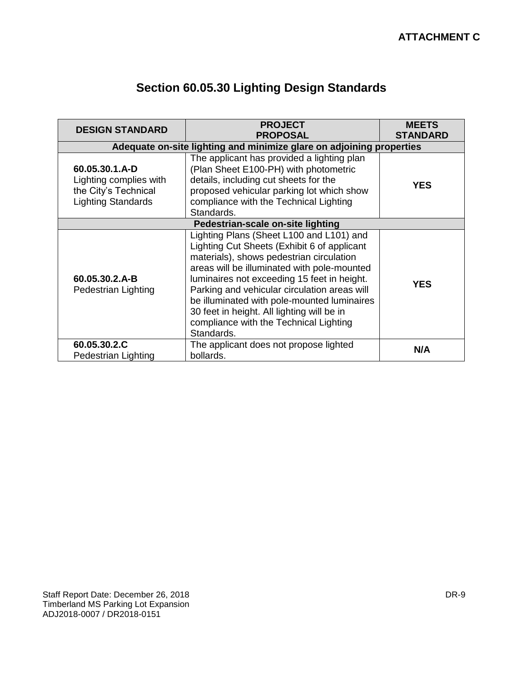| <b>DESIGN STANDARD</b>                                                                        | <b>PROJECT</b><br><b>PROPOSAL</b>                                                                                                                                                                                                                                                                                                                                                                                                      | <b>MEETS</b><br><b>STANDARD</b> |  |
|-----------------------------------------------------------------------------------------------|----------------------------------------------------------------------------------------------------------------------------------------------------------------------------------------------------------------------------------------------------------------------------------------------------------------------------------------------------------------------------------------------------------------------------------------|---------------------------------|--|
| Adequate on-site lighting and minimize glare on adjoining properties                          |                                                                                                                                                                                                                                                                                                                                                                                                                                        |                                 |  |
| 60.05.30.1.A-D<br>Lighting complies with<br>the City's Technical<br><b>Lighting Standards</b> | The applicant has provided a lighting plan<br>(Plan Sheet E100-PH) with photometric<br>details, including cut sheets for the<br>proposed vehicular parking lot which show<br>compliance with the Technical Lighting<br>Standards.                                                                                                                                                                                                      | <b>YES</b>                      |  |
| Pedestrian-scale on-site lighting                                                             |                                                                                                                                                                                                                                                                                                                                                                                                                                        |                                 |  |
| 60.05.30.2.A-B<br>Pedestrian Lighting                                                         | Lighting Plans (Sheet L100 and L101) and<br>Lighting Cut Sheets (Exhibit 6 of applicant<br>materials), shows pedestrian circulation<br>areas will be illuminated with pole-mounted<br>luminaires not exceeding 15 feet in height.<br>Parking and vehicular circulation areas will<br>be illuminated with pole-mounted luminaires<br>30 feet in height. All lighting will be in<br>compliance with the Technical Lighting<br>Standards. | <b>YES</b>                      |  |
| 60.05.30.2.C<br>Pedestrian Lighting                                                           | The applicant does not propose lighted<br>bollards.                                                                                                                                                                                                                                                                                                                                                                                    | N/A                             |  |

# **Section 60.05.30 Lighting Design Standards**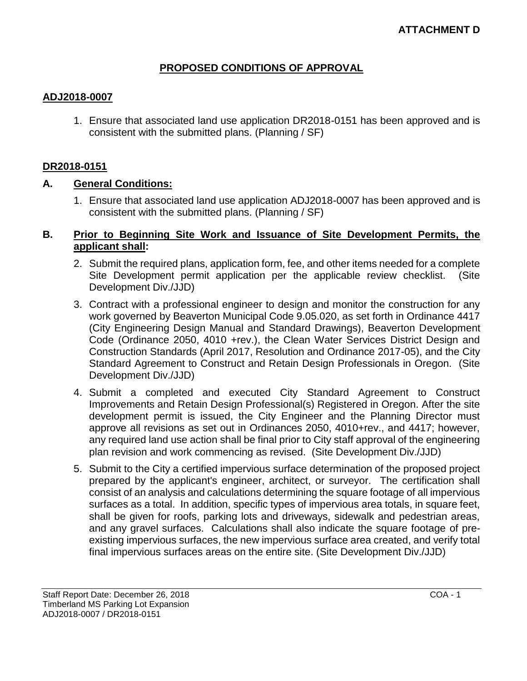#### **PROPOSED CONDITIONS OF APPROVAL**

#### **ADJ2018-0007**

1. Ensure that associated land use application DR2018-0151 has been approved and is consistent with the submitted plans. (Planning / SF)

#### **DR2018-0151**

#### **A. General Conditions:**

1. Ensure that associated land use application ADJ2018-0007 has been approved and is consistent with the submitted plans. (Planning / SF)

#### **B. Prior to Beginning Site Work and Issuance of Site Development Permits, the applicant shall:**

- 2. Submit the required plans, application form, fee, and other items needed for a complete Site Development permit application per the applicable review checklist. (Site Development Div./JJD)
- 3. Contract with a professional engineer to design and monitor the construction for any work governed by Beaverton Municipal Code 9.05.020, as set forth in Ordinance 4417 (City Engineering Design Manual and Standard Drawings), Beaverton Development Code (Ordinance 2050, 4010 +rev.), the Clean Water Services District Design and Construction Standards (April 2017, Resolution and Ordinance 2017-05), and the City Standard Agreement to Construct and Retain Design Professionals in Oregon. (Site Development Div./JJD)
- 4. Submit a completed and executed City Standard Agreement to Construct Improvements and Retain Design Professional(s) Registered in Oregon. After the site development permit is issued, the City Engineer and the Planning Director must approve all revisions as set out in Ordinances 2050, 4010+rev., and 4417; however, any required land use action shall be final prior to City staff approval of the engineering plan revision and work commencing as revised. (Site Development Div./JJD)
- 5. Submit to the City a certified impervious surface determination of the proposed project prepared by the applicant's engineer, architect, or surveyor. The certification shall consist of an analysis and calculations determining the square footage of all impervious surfaces as a total. In addition, specific types of impervious area totals, in square feet, shall be given for roofs, parking lots and driveways, sidewalk and pedestrian areas, and any gravel surfaces. Calculations shall also indicate the square footage of preexisting impervious surfaces, the new impervious surface area created, and verify total final impervious surfaces areas on the entire site. (Site Development Div./JJD)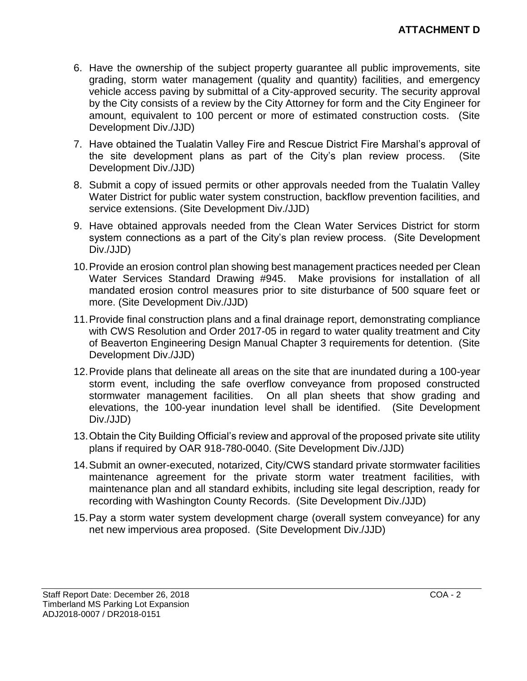- 6. Have the ownership of the subject property guarantee all public improvements, site grading, storm water management (quality and quantity) facilities, and emergency vehicle access paving by submittal of a City-approved security. The security approval by the City consists of a review by the City Attorney for form and the City Engineer for amount, equivalent to 100 percent or more of estimated construction costs. (Site Development Div./JJD)
- 7. Have obtained the Tualatin Valley Fire and Rescue District Fire Marshal's approval of the site development plans as part of the City's plan review process. (Site Development Div./JJD)
- 8. Submit a copy of issued permits or other approvals needed from the Tualatin Valley Water District for public water system construction, backflow prevention facilities, and service extensions. (Site Development Div./JJD)
- 9. Have obtained approvals needed from the Clean Water Services District for storm system connections as a part of the City's plan review process. (Site Development Div./JJD)
- 10.Provide an erosion control plan showing best management practices needed per Clean Water Services Standard Drawing #945. Make provisions for installation of all mandated erosion control measures prior to site disturbance of 500 square feet or more. (Site Development Div./JJD)
- 11.Provide final construction plans and a final drainage report, demonstrating compliance with CWS Resolution and Order 2017-05 in regard to water quality treatment and City of Beaverton Engineering Design Manual Chapter 3 requirements for detention. (Site Development Div./JJD)
- 12.Provide plans that delineate all areas on the site that are inundated during a 100-year storm event, including the safe overflow conveyance from proposed constructed stormwater management facilities. On all plan sheets that show grading and elevations, the 100-year inundation level shall be identified. (Site Development Div./JJD)
- 13.Obtain the City Building Official's review and approval of the proposed private site utility plans if required by OAR 918-780-0040. (Site Development Div./JJD)
- 14.Submit an owner-executed, notarized, City/CWS standard private stormwater facilities maintenance agreement for the private storm water treatment facilities, with maintenance plan and all standard exhibits, including site legal description, ready for recording with Washington County Records. (Site Development Div./JJD)
- 15.Pay a storm water system development charge (overall system conveyance) for any net new impervious area proposed. (Site Development Div./JJD)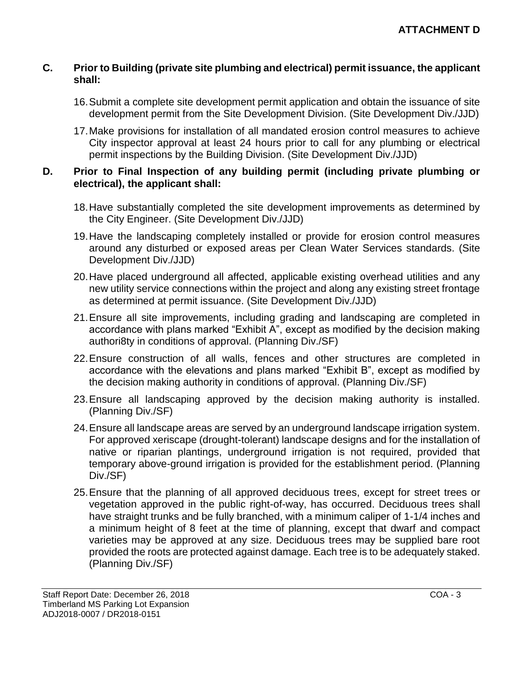#### **C. Prior to Building (private site plumbing and electrical) permit issuance, the applicant shall:**

- 16.Submit a complete site development permit application and obtain the issuance of site development permit from the Site Development Division. (Site Development Div./JJD)
- 17.Make provisions for installation of all mandated erosion control measures to achieve City inspector approval at least 24 hours prior to call for any plumbing or electrical permit inspections by the Building Division. (Site Development Div./JJD)

#### **D. Prior to Final Inspection of any building permit (including private plumbing or electrical), the applicant shall:**

- 18.Have substantially completed the site development improvements as determined by the City Engineer. (Site Development Div./JJD)
- 19.Have the landscaping completely installed or provide for erosion control measures around any disturbed or exposed areas per Clean Water Services standards. (Site Development Div./JJD)
- 20.Have placed underground all affected, applicable existing overhead utilities and any new utility service connections within the project and along any existing street frontage as determined at permit issuance. (Site Development Div./JJD)
- 21.Ensure all site improvements, including grading and landscaping are completed in accordance with plans marked "Exhibit A", except as modified by the decision making authori8ty in conditions of approval. (Planning Div./SF)
- 22.Ensure construction of all walls, fences and other structures are completed in accordance with the elevations and plans marked "Exhibit B", except as modified by the decision making authority in conditions of approval. (Planning Div./SF)
- 23.Ensure all landscaping approved by the decision making authority is installed. (Planning Div./SF)
- 24.Ensure all landscape areas are served by an underground landscape irrigation system. For approved xeriscape (drought-tolerant) landscape designs and for the installation of native or riparian plantings, underground irrigation is not required, provided that temporary above-ground irrigation is provided for the establishment period. (Planning Div./SF)
- 25.Ensure that the planning of all approved deciduous trees, except for street trees or vegetation approved in the public right-of-way, has occurred. Deciduous trees shall have straight trunks and be fully branched, with a minimum caliper of 1-1/4 inches and a minimum height of 8 feet at the time of planning, except that dwarf and compact varieties may be approved at any size. Deciduous trees may be supplied bare root provided the roots are protected against damage. Each tree is to be adequately staked. (Planning Div./SF)